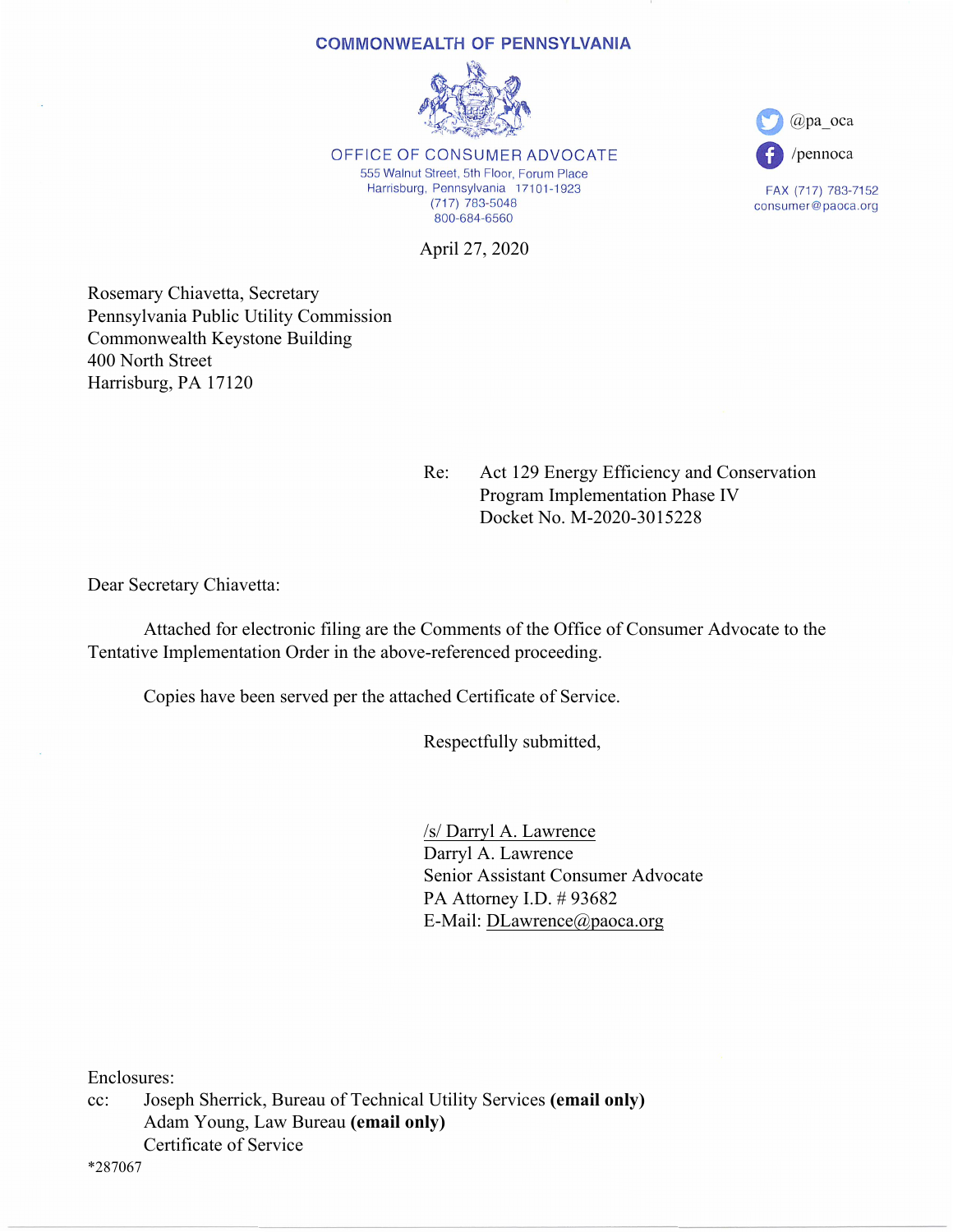#### **COMMONWEALTH OF PENNSYLVANIA**



OFFICE OF CONSUMER ADVOCATE 555 Walnut Street, 5th Floor, Forum Place Harrisburg, Pennsylvania 17101-1923  $(717)$  783-5048 800-684-6560

April 27, 2020

Rosemary Chiavetta, Secretary Pennsylvania Public Utility Commission Commonwealth Keystone Building 400 North Street Harrisburg, PA 17120

> Re: Act 129 Energy Efficiency and Conservation Program Implementation Phase IV Docket No. M-2020-3015228

 $(a)$ pa oca

/pennoca

FAX (717) 783-7152

consumer@paoca.org

Dear Secretary Chiavetta:

 Attached for electronic filing are the Comments of the Office of Consumer Advocate to the Tentative Implementation Order in the above-referenced proceeding.

Copies have been served per the attached Certificate of Service.

Respectfully submitted,

 /s/ Darryl A. Lawrence Darryl A. Lawrence Senior Assistant Consumer Advocate PA Attorney I.D. # 93682 E-Mail: DLawrence@paoca.org

Enclosures:

cc: Joseph Sherrick, Bureau of Technical Utility Services **(email only)**  Adam Young, Law Bureau **(email only)**  Certificate of Service

\*287067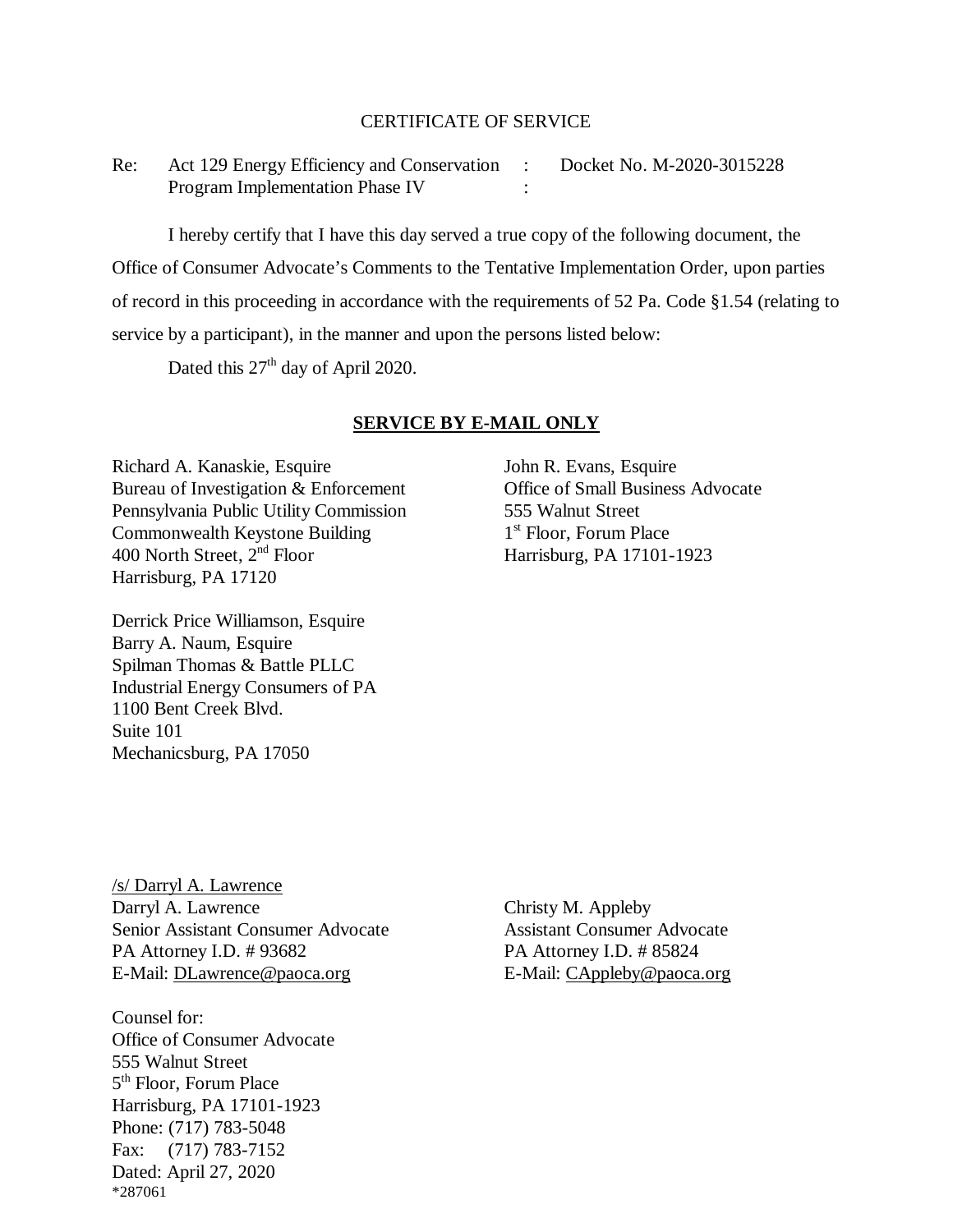## CERTIFICATE OF SERVICE

Re: Act 129 Energy Efficiency and Conservation : Docket No. M-2020-3015228 Program Implementation Phase IV :

I hereby certify that I have this day served a true copy of the following document, the Office of Consumer Advocate's Comments to the Tentative Implementation Order, upon parties of record in this proceeding in accordance with the requirements of 52 Pa. Code §1.54 (relating to service by a participant), in the manner and upon the persons listed below:

Dated this  $27<sup>th</sup>$  day of April 2020.

## **SERVICE BY E-MAIL ONLY**

Richard A. Kanaskie, Esquire John R. Evans, Esquire Bureau of Investigation & Enforcement Office of Small Business Advocate Pennsylvania Public Utility Commission 555 Walnut Street Commonwealth Keystone Building 1<sup>st</sup> Floor, Forum Place<br>400 North Street, 2<sup>nd</sup> Floor Harrisburg, PA 17101-Harrisburg, PA 17120

Derrick Price Williamson, Esquire Barry A. Naum, Esquire Spilman Thomas & Battle PLLC Industrial Energy Consumers of PA 1100 Bent Creek Blvd. Suite 101 Mechanicsburg, PA 17050

Harrisburg, PA 17101-1923

/s/ Darryl A. Lawrence Darryl A. Lawrence Christy M. Appleby Senior Assistant Consumer Advocate Assistant Consumer Advocate PA Attorney I.D. # 93682 PA Attorney I.D. # 85824 E-Mail: [DLawrence@paoca.org](mailto:DLawrence@paoca.org) <br>E-Mail: [CAppleby@paoca.org](mailto:CAppleby@paoca.org)

Counsel for: Office of Consumer Advocate 555 Walnut Street 5th Floor, Forum Place Harrisburg, PA 17101-1923 Phone: (717) 783-5048 Fax: (717) 783-7152 Dated: April 27, 2020 \*287061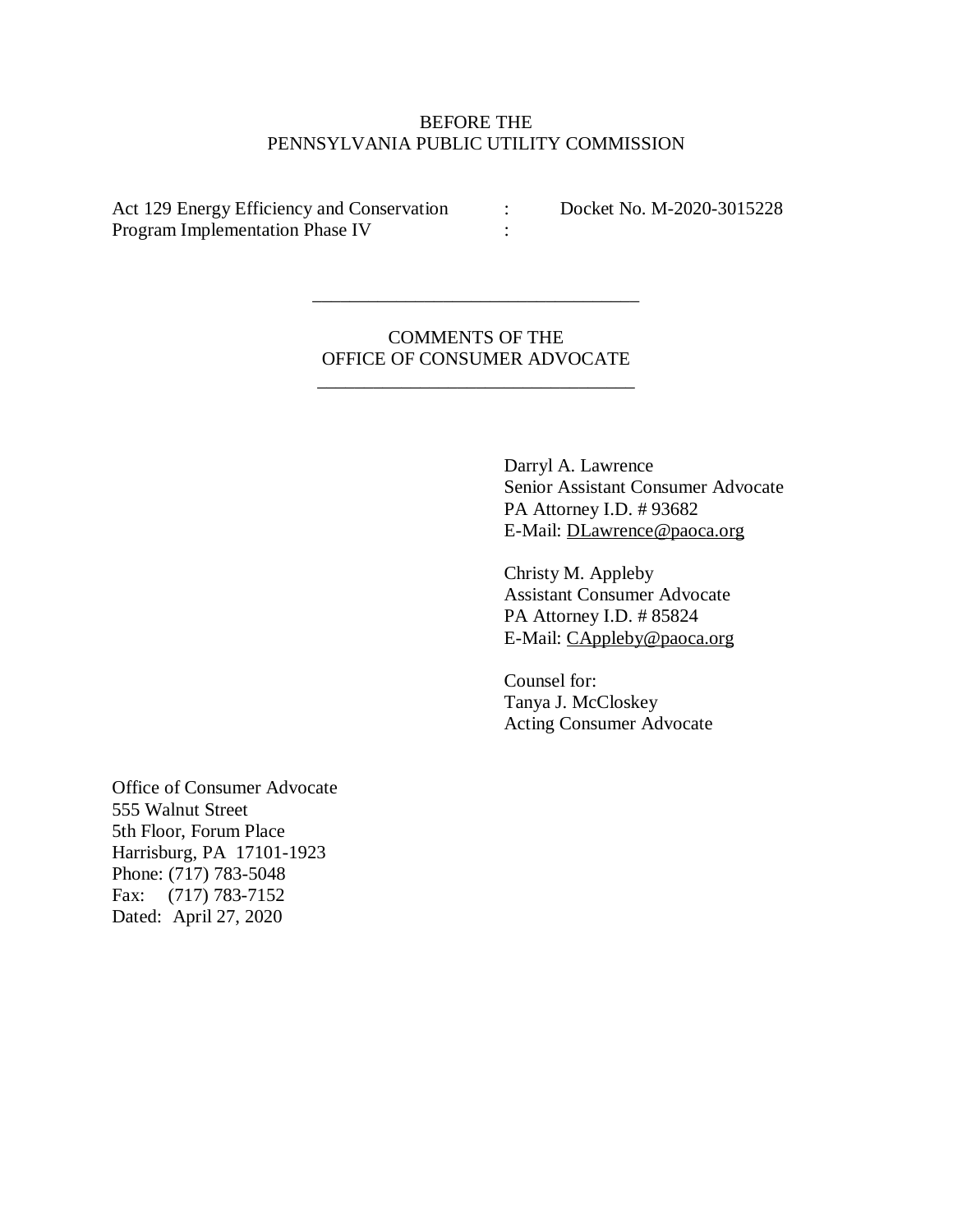# BEFORE THE PENNSYLVANIA PUBLIC UTILITY COMMISSION

Act 129 Energy Efficiency and Conservation : Docket No. M-2020-3015228 Program Implementation Phase IV :

COMMENTS OF THE OFFICE OF CONSUMER ADVOCATE

\_\_\_\_\_\_\_\_\_\_\_\_\_\_\_\_\_\_\_\_\_\_\_\_\_\_\_\_\_\_\_\_\_\_

\_\_\_\_\_\_\_\_\_\_\_\_\_\_\_\_\_\_\_\_\_\_\_\_\_\_\_\_\_\_\_\_\_\_\_

Darryl A. Lawrence Senior Assistant Consumer Advocate PA Attorney I.D. # 93682 E-Mail: [DLawrence@paoca.org](mailto:DLawrence@paoca.org)

Christy M. Appleby Assistant Consumer Advocate PA Attorney I.D. #85824 E-Mail: [CAppleby@paoca.org](mailto:CAppleby@paoca.org)

Counsel for: Tanya J. McCloskey Acting Consumer Advocate

Office of Consumer Advocate 555 Walnut Street 5th Floor, Forum Place Harrisburg, PA 17101-1923 Phone: (717) 783-5048 Fax: (717) 783-7152 Dated: April 27, 2020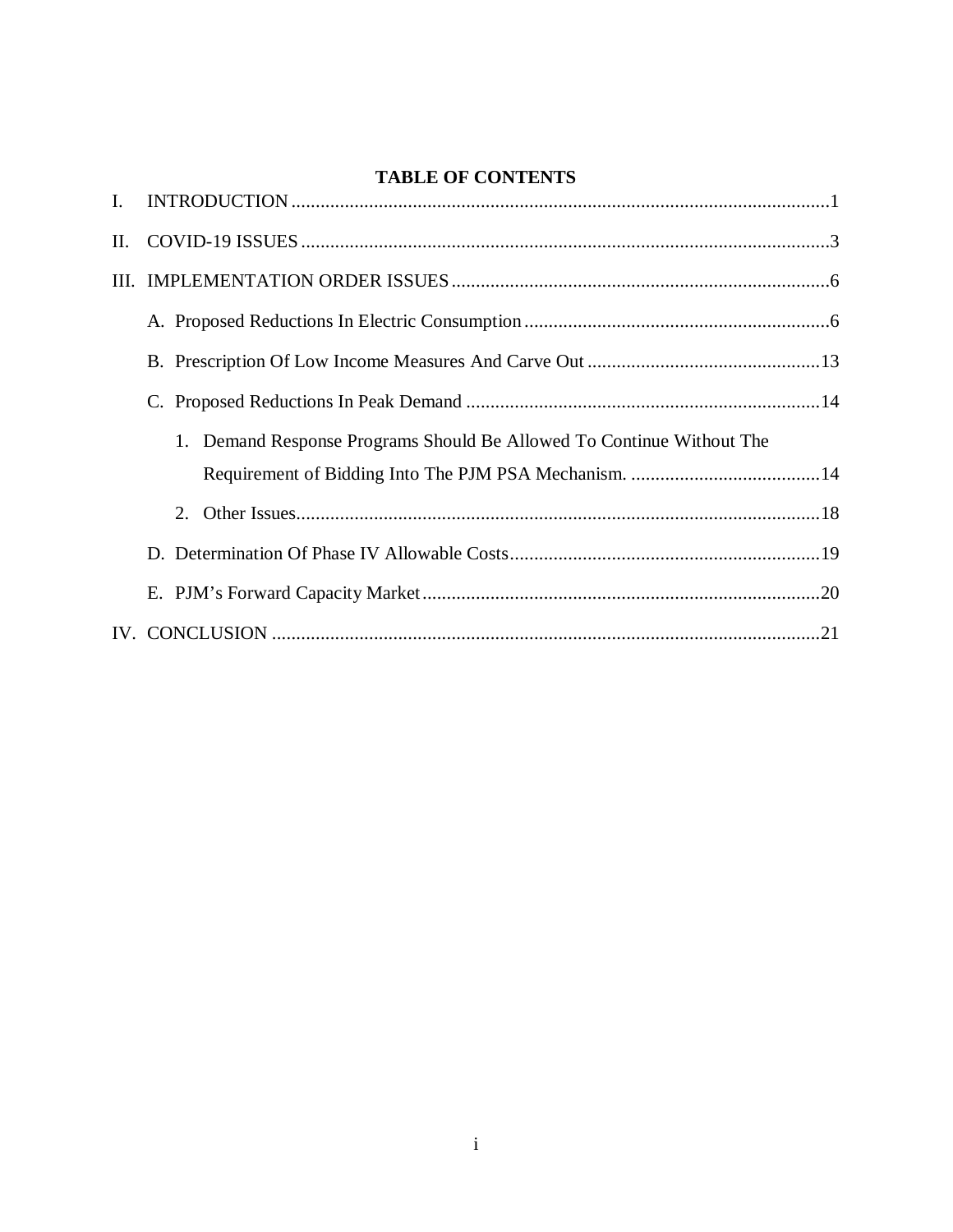# **TABLE OF CONTENTS**

| $\mathbf{L}$ |                                                                       |
|--------------|-----------------------------------------------------------------------|
| П.           |                                                                       |
|              |                                                                       |
|              |                                                                       |
|              |                                                                       |
|              |                                                                       |
|              | 1. Demand Response Programs Should Be Allowed To Continue Without The |
|              |                                                                       |
|              | 2.                                                                    |
|              |                                                                       |
|              |                                                                       |
|              |                                                                       |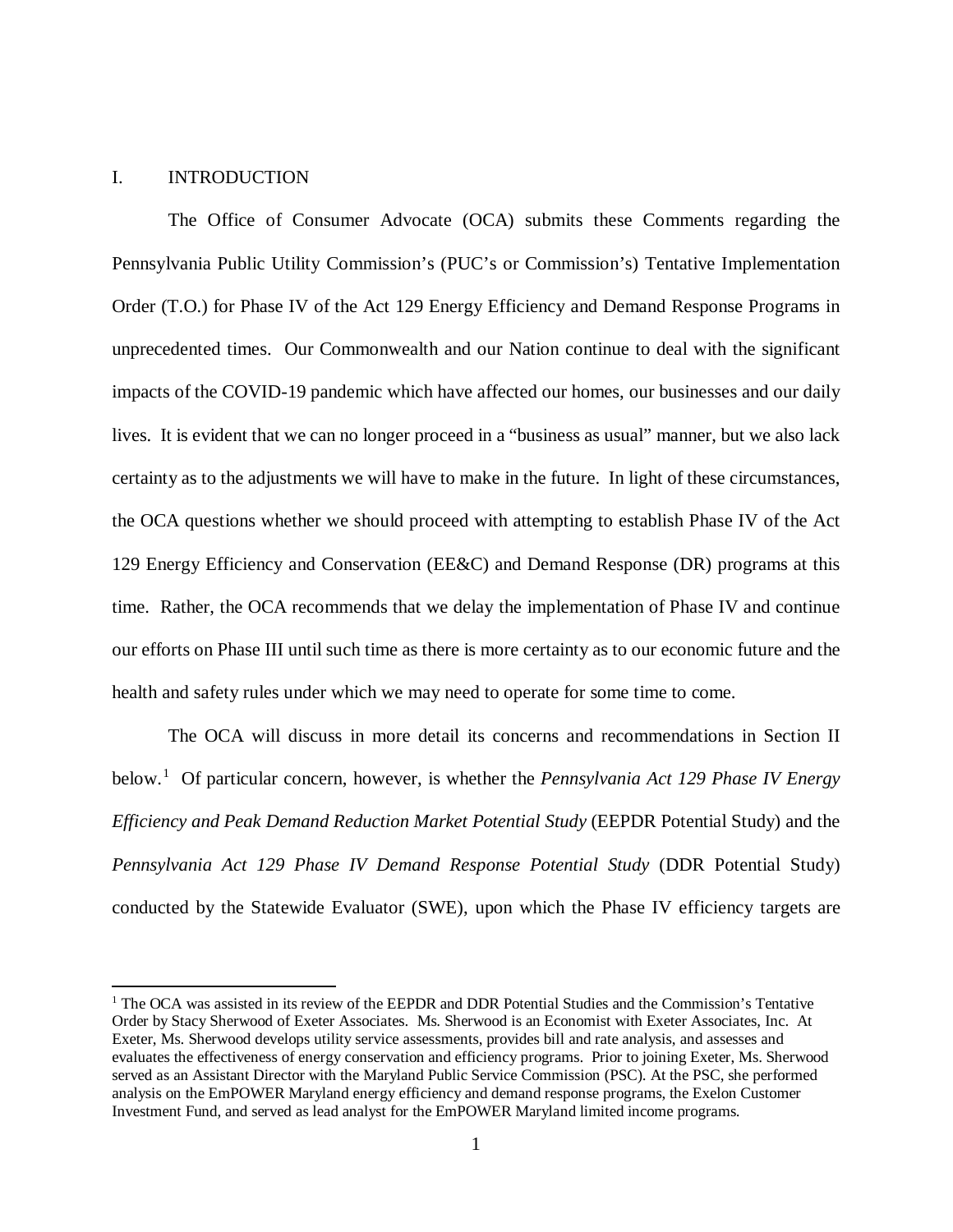#### <span id="page-4-0"></span>I. INTRODUCTION

 $\overline{\phantom{a}}$ 

The Office of Consumer Advocate (OCA) submits these Comments regarding the Pennsylvania Public Utility Commission's (PUC's or Commission's) Tentative Implementation Order (T.O.) for Phase IV of the Act 129 Energy Efficiency and Demand Response Programs in unprecedented times. Our Commonwealth and our Nation continue to deal with the significant impacts of the COVID-19 pandemic which have affected our homes, our businesses and our daily lives. It is evident that we can no longer proceed in a "business as usual" manner, but we also lack certainty as to the adjustments we will have to make in the future. In light of these circumstances, the OCA questions whether we should proceed with attempting to establish Phase IV of the Act 129 Energy Efficiency and Conservation (EE&C) and Demand Response (DR) programs at this time. Rather, the OCA recommends that we delay the implementation of Phase IV and continue our efforts on Phase III until such time as there is more certainty as to our economic future and the health and safety rules under which we may need to operate for some time to come.

The OCA will discuss in more detail its concerns and recommendations in Section II below.[1](#page-4-1) Of particular concern, however, is whether the *Pennsylvania Act 129 Phase IV Energy Efficiency and Peak Demand Reduction Market Potential Study* (EEPDR Potential Study) and the *Pennsylvania Act 129 Phase IV Demand Response Potential Study* (DDR Potential Study) conducted by the Statewide Evaluator (SWE), upon which the Phase IV efficiency targets are

<span id="page-4-1"></span><sup>&</sup>lt;sup>1</sup> The OCA was assisted in its review of the EEPDR and DDR Potential Studies and the Commission's Tentative Order by Stacy Sherwood of Exeter Associates. Ms. Sherwood is an Economist with Exeter Associates, Inc. At Exeter, Ms. Sherwood develops utility service assessments, provides bill and rate analysis, and assesses and evaluates the effectiveness of energy conservation and efficiency programs. Prior to joining Exeter, Ms. Sherwood served as an Assistant Director with the Maryland Public Service Commission (PSC). At the PSC, she performed analysis on the EmPOWER Maryland energy efficiency and demand response programs, the Exelon Customer Investment Fund, and served as lead analyst for the EmPOWER Maryland limited income programs.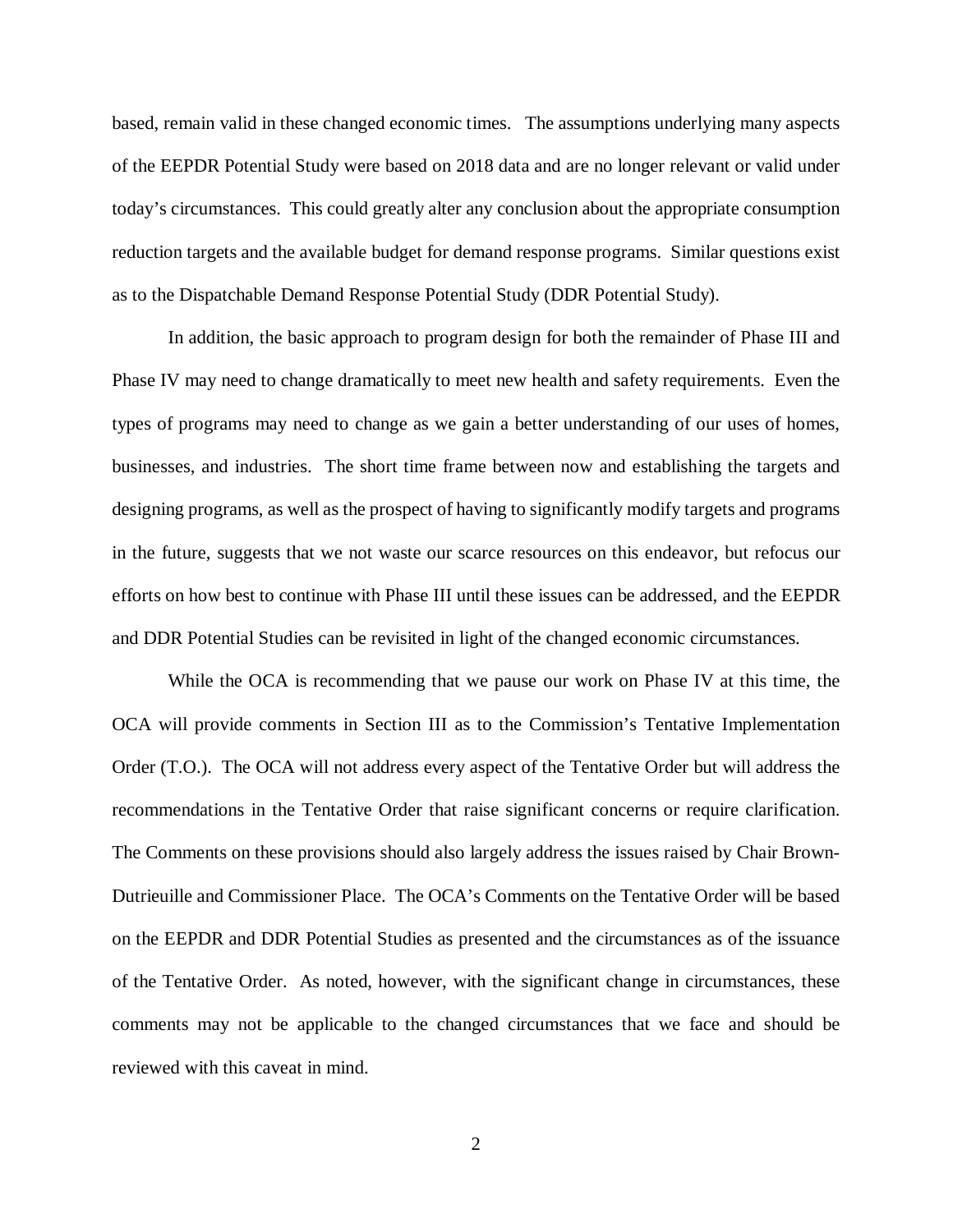based, remain valid in these changed economic times. The assumptions underlying many aspects of the EEPDR Potential Study were based on 2018 data and are no longer relevant or valid under today's circumstances. This could greatly alter any conclusion about the appropriate consumption reduction targets and the available budget for demand response programs. Similar questions exist as to the Dispatchable Demand Response Potential Study (DDR Potential Study).

In addition, the basic approach to program design for both the remainder of Phase III and Phase IV may need to change dramatically to meet new health and safety requirements. Even the types of programs may need to change as we gain a better understanding of our uses of homes, businesses, and industries. The short time frame between now and establishing the targets and designing programs, as well as the prospect of having to significantly modify targets and programs in the future, suggests that we not waste our scarce resources on this endeavor, but refocus our efforts on how best to continue with Phase III until these issues can be addressed, and the EEPDR and DDR Potential Studies can be revisited in light of the changed economic circumstances.

While the OCA is recommending that we pause our work on Phase IV at this time, the OCA will provide comments in Section III as to the Commission's Tentative Implementation Order (T.O.). The OCA will not address every aspect of the Tentative Order but will address the recommendations in the Tentative Order that raise significant concerns or require clarification. The Comments on these provisions should also largely address the issues raised by Chair Brown-Dutrieuille and Commissioner Place. The OCA's Comments on the Tentative Order will be based on the EEPDR and DDR Potential Studies as presented and the circumstances as of the issuance of the Tentative Order. As noted, however, with the significant change in circumstances, these comments may not be applicable to the changed circumstances that we face and should be reviewed with this caveat in mind.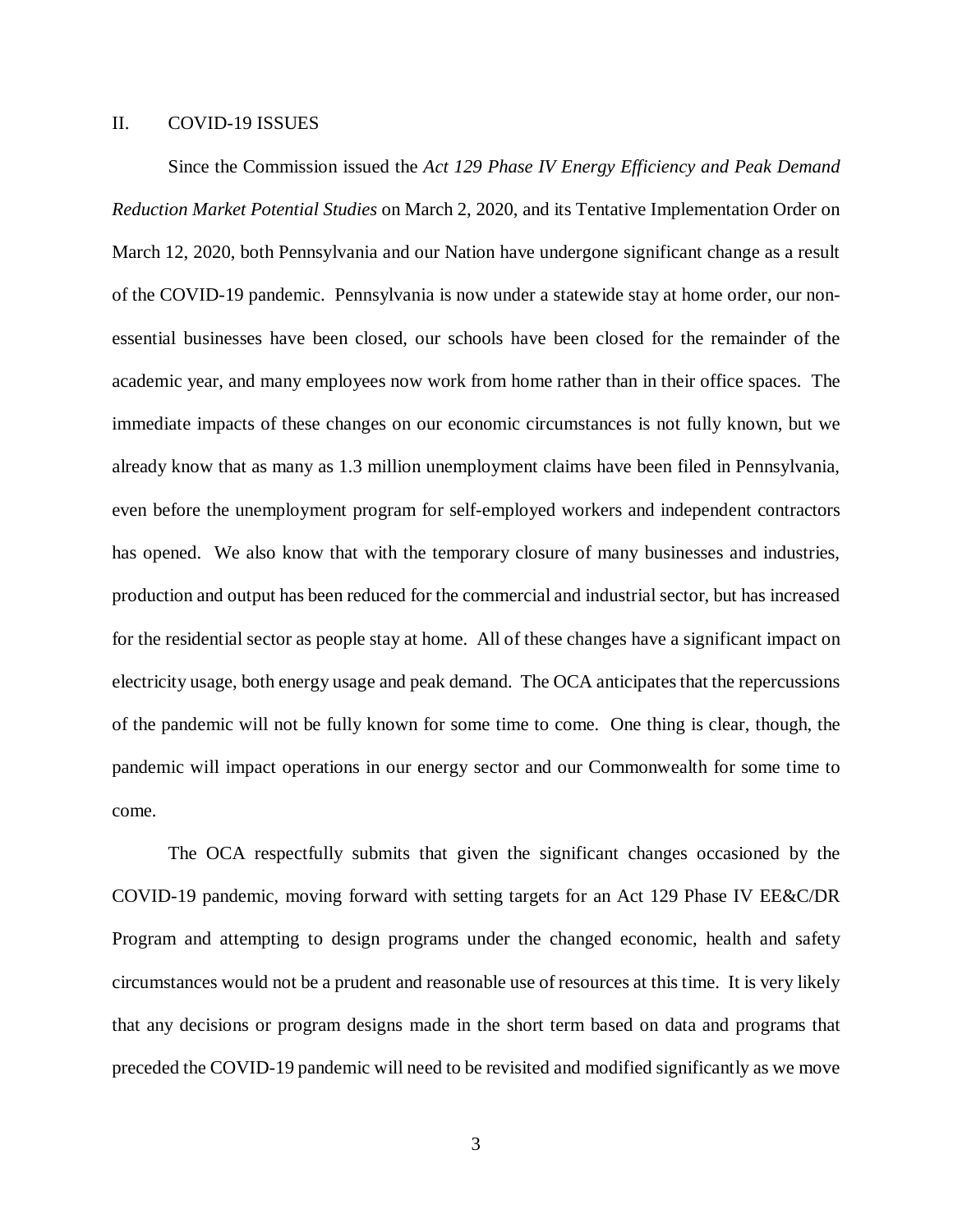# <span id="page-6-0"></span>II. COVID-19 ISSUES

Since the Commission issued the *Act 129 Phase IV Energy Efficiency and Peak Demand Reduction Market Potential Studies* on March 2, 2020, and its Tentative Implementation Order on March 12, 2020, both Pennsylvania and our Nation have undergone significant change as a result of the COVID-19 pandemic. Pennsylvania is now under a statewide stay at home order, our nonessential businesses have been closed, our schools have been closed for the remainder of the academic year, and many employees now work from home rather than in their office spaces. The immediate impacts of these changes on our economic circumstances is not fully known, but we already know that as many as 1.3 million unemployment claims have been filed in Pennsylvania, even before the unemployment program for self-employed workers and independent contractors has opened. We also know that with the temporary closure of many businesses and industries, production and output has been reduced for the commercial and industrial sector, but has increased for the residential sector as people stay at home. All of these changes have a significant impact on electricity usage, both energy usage and peak demand. The OCA anticipates that the repercussions of the pandemic will not be fully known for some time to come. One thing is clear, though, the pandemic will impact operations in our energy sector and our Commonwealth for some time to come.

The OCA respectfully submits that given the significant changes occasioned by the COVID-19 pandemic, moving forward with setting targets for an Act 129 Phase IV EE&C/DR Program and attempting to design programs under the changed economic, health and safety circumstances would not be a prudent and reasonable use of resources at this time. It is very likely that any decisions or program designs made in the short term based on data and programs that preceded the COVID-19 pandemic will need to be revisited and modified significantly as we move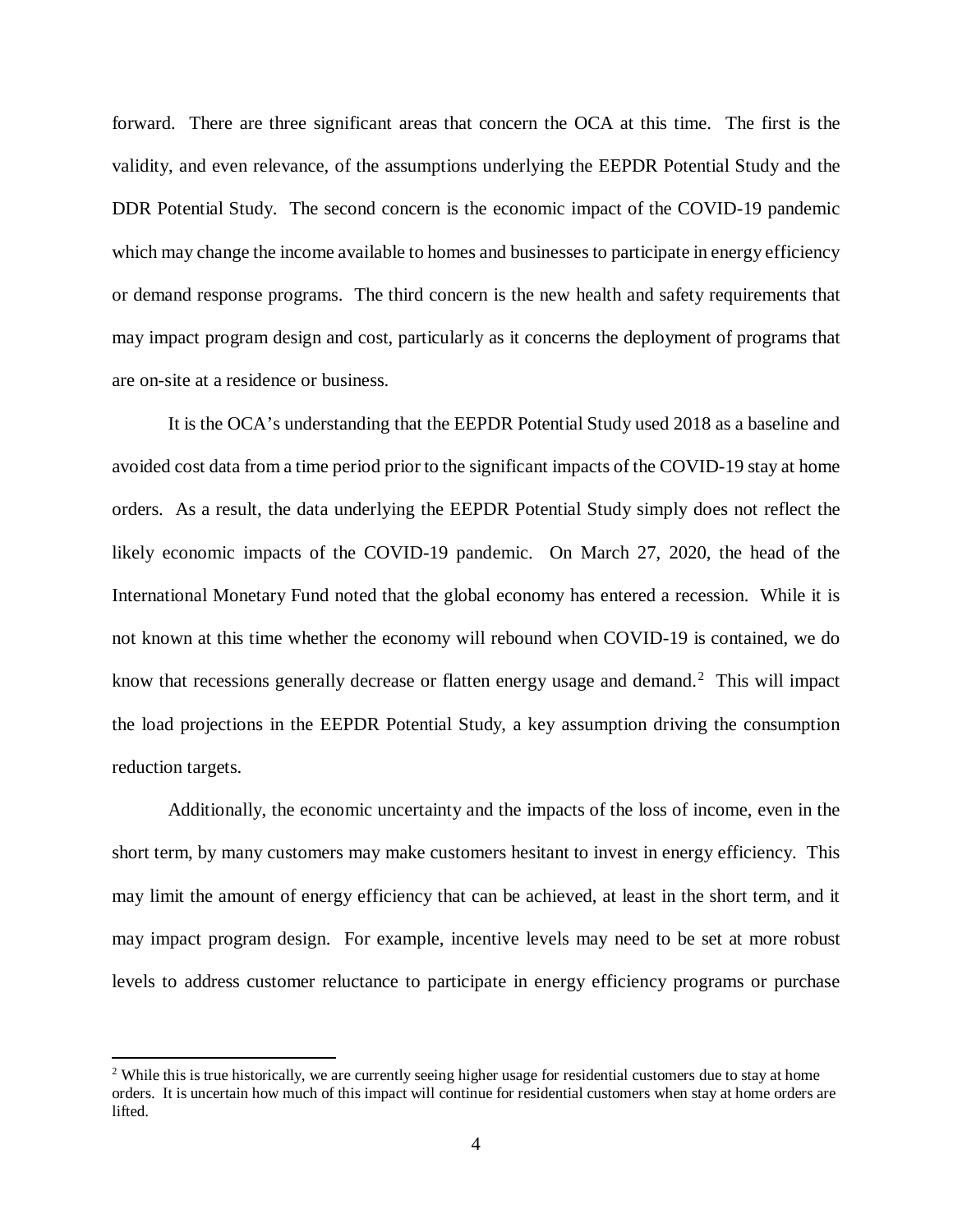forward. There are three significant areas that concern the OCA at this time. The first is the validity, and even relevance, of the assumptions underlying the EEPDR Potential Study and the DDR Potential Study. The second concern is the economic impact of the COVID-19 pandemic which may change the income available to homes and businesses to participate in energy efficiency or demand response programs. The third concern is the new health and safety requirements that may impact program design and cost, particularly as it concerns the deployment of programs that are on-site at a residence or business.

It is the OCA's understanding that the EEPDR Potential Study used 2018 as a baseline and avoided cost data from a time period prior to the significant impacts of the COVID-19 stay at home orders. As a result, the data underlying the EEPDR Potential Study simply does not reflect the likely economic impacts of the COVID-19 pandemic. On March 27, 2020, the head of the International Monetary Fund noted that the global economy has entered a recession. While it is not known at this time whether the economy will rebound when COVID-19 is contained, we do know that recessions generally decrease or flatten energy usage and demand.<sup>[2](#page-7-0)</sup> This will impact the load projections in the EEPDR Potential Study, a key assumption driving the consumption reduction targets.

Additionally, the economic uncertainty and the impacts of the loss of income, even in the short term, by many customers may make customers hesitant to invest in energy efficiency. This may limit the amount of energy efficiency that can be achieved, at least in the short term, and it may impact program design. For example, incentive levels may need to be set at more robust levels to address customer reluctance to participate in energy efficiency programs or purchase

 $\overline{a}$ 

<span id="page-7-0"></span><sup>&</sup>lt;sup>2</sup> While this is true historically, we are currently seeing higher usage for residential customers due to stay at home orders. It is uncertain how much of this impact will continue for residential customers when stay at home orders are lifted.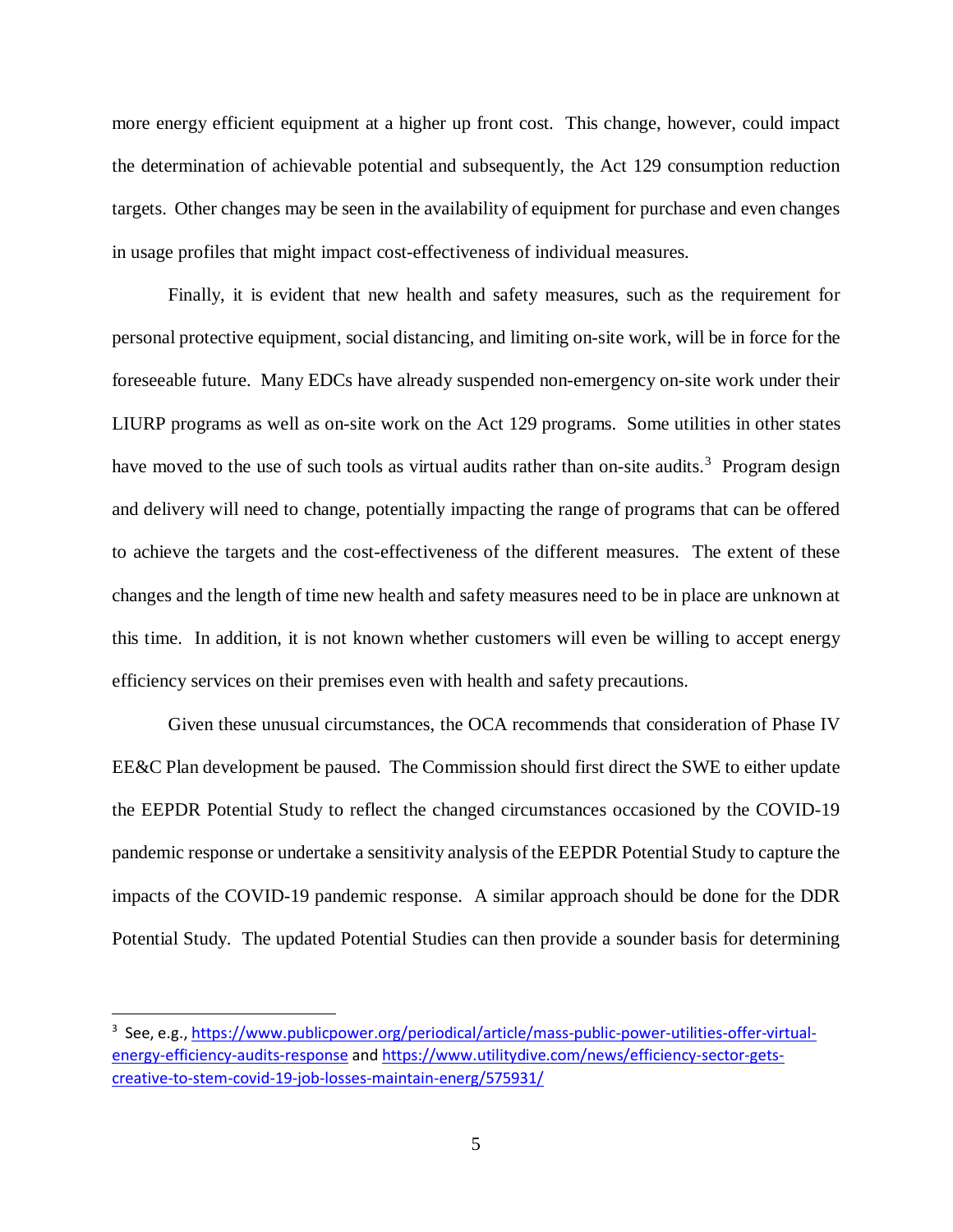more energy efficient equipment at a higher up front cost. This change, however, could impact the determination of achievable potential and subsequently, the Act 129 consumption reduction targets. Other changes may be seen in the availability of equipment for purchase and even changes in usage profiles that might impact cost-effectiveness of individual measures.

Finally, it is evident that new health and safety measures, such as the requirement for personal protective equipment, social distancing, and limiting on-site work, will be in force for the foreseeable future. Many EDCs have already suspended non-emergency on-site work under their LIURP programs as well as on-site work on the Act 129 programs. Some utilities in other states have moved to the use of such tools as virtual audits rather than on-site audits.<sup>[3](#page-8-0)</sup> Program design and delivery will need to change, potentially impacting the range of programs that can be offered to achieve the targets and the cost-effectiveness of the different measures. The extent of these changes and the length of time new health and safety measures need to be in place are unknown at this time. In addition, it is not known whether customers will even be willing to accept energy efficiency services on their premises even with health and safety precautions.

Given these unusual circumstances, the OCA recommends that consideration of Phase IV EE&C Plan development be paused. The Commission should first direct the SWE to either update the EEPDR Potential Study to reflect the changed circumstances occasioned by the COVID-19 pandemic response or undertake a sensitivity analysis of the EEPDR Potential Study to capture the impacts of the COVID-19 pandemic response. A similar approach should be done for the DDR Potential Study. The updated Potential Studies can then provide a sounder basis for determining

<span id="page-8-0"></span><sup>-&</sup>lt;br>3 <sup>3</sup> See, e.g., [https://www.publicpower.org/periodical/article/mass-public-power-utilities-offer-virtual](https://www.publicpower.org/periodical/article/mass-public-power-utilities-offer-virtual-energy-efficiency-audits-response)[energy-efficiency-audits-response](https://www.publicpower.org/periodical/article/mass-public-power-utilities-offer-virtual-energy-efficiency-audits-response) an[d https://www.utilitydive.com/news/efficiency-sector-gets](https://www.utilitydive.com/news/efficiency-sector-gets-creative-to-stem-covid-19-job-losses-maintain-energ/575931/)[creative-to-stem-covid-19-job-losses-maintain-energ/575931/](https://www.utilitydive.com/news/efficiency-sector-gets-creative-to-stem-covid-19-job-losses-maintain-energ/575931/)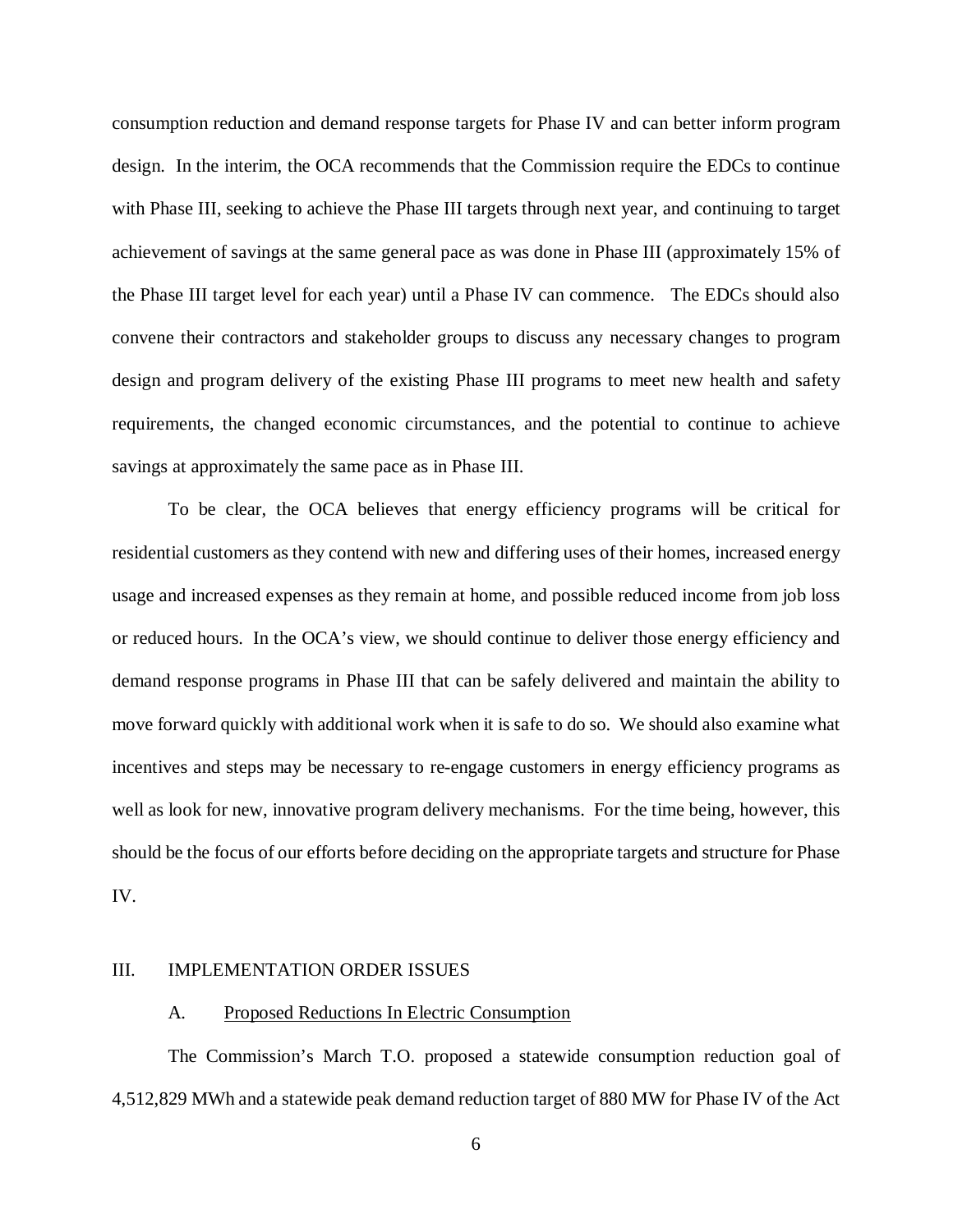consumption reduction and demand response targets for Phase IV and can better inform program design. In the interim, the OCA recommends that the Commission require the EDCs to continue with Phase III, seeking to achieve the Phase III targets through next year, and continuing to target achievement of savings at the same general pace as was done in Phase III (approximately 15% of the Phase III target level for each year) until a Phase IV can commence. The EDCs should also convene their contractors and stakeholder groups to discuss any necessary changes to program design and program delivery of the existing Phase III programs to meet new health and safety requirements, the changed economic circumstances, and the potential to continue to achieve savings at approximately the same pace as in Phase III.

To be clear, the OCA believes that energy efficiency programs will be critical for residential customers as they contend with new and differing uses of their homes, increased energy usage and increased expenses as they remain at home, and possible reduced income from job loss or reduced hours. In the OCA's view, we should continue to deliver those energy efficiency and demand response programs in Phase III that can be safely delivered and maintain the ability to move forward quickly with additional work when it is safe to do so. We should also examine what incentives and steps may be necessary to re-engage customers in energy efficiency programs as well as look for new, innovative program delivery mechanisms. For the time being, however, this should be the focus of our efforts before deciding on the appropriate targets and structure for Phase IV.

## <span id="page-9-0"></span>III. IMPLEMENTATION ORDER ISSUES

## <span id="page-9-1"></span>A. Proposed Reductions In Electric Consumption

The Commission's March T.O. proposed a statewide consumption reduction goal of 4,512,829 MWh and a statewide peak demand reduction target of 880 MW for Phase IV of the Act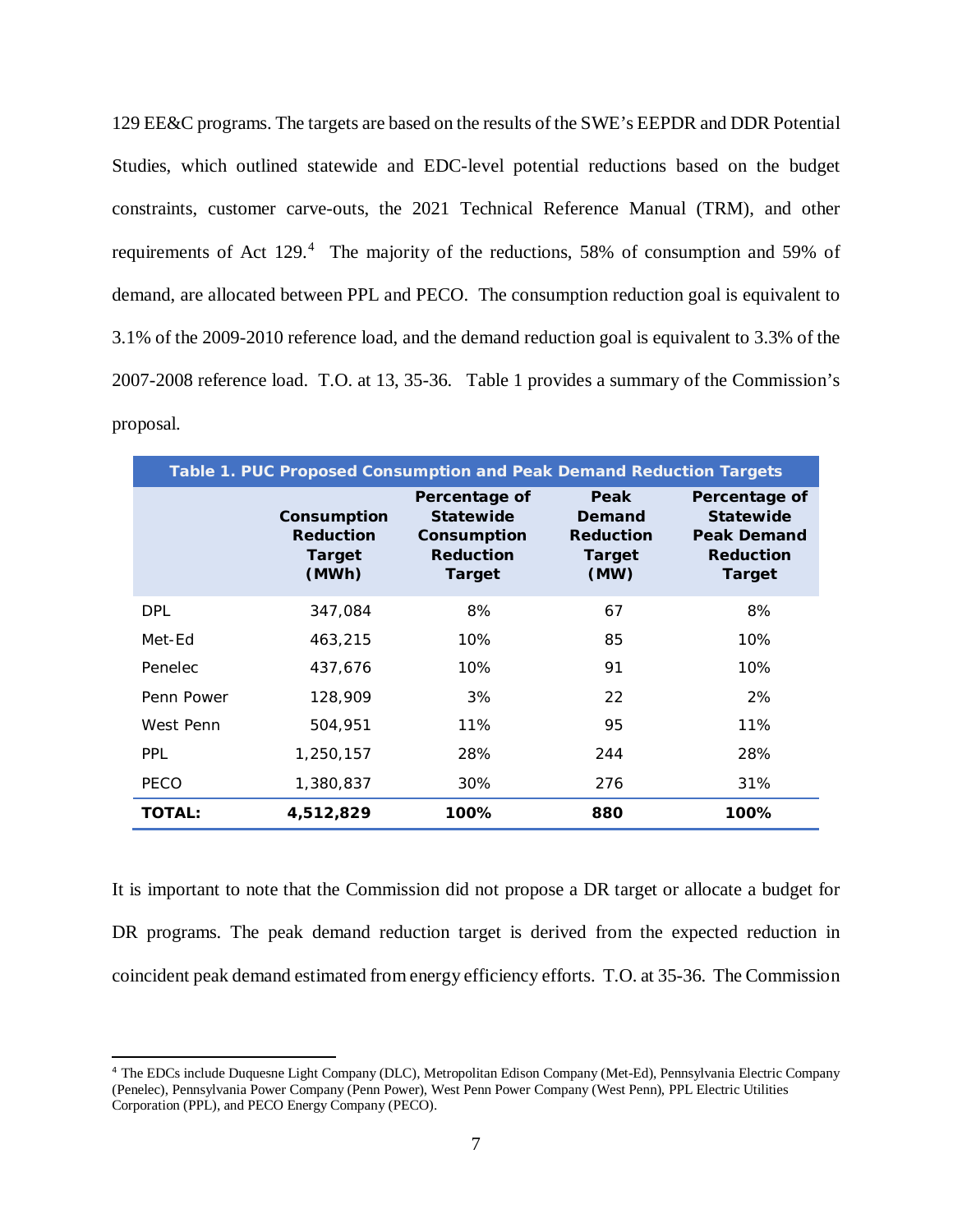129 EE&C programs. The targets are based on the results of the SWE's EEPDR and DDR Potential Studies, which outlined statewide and EDC-level potential reductions based on the budget constraints, customer carve-outs, the 2021 Technical Reference Manual (TRM), and other requirements of Act 129.<sup>[4](#page-10-0)</sup> The majority of the reductions, 58% of consumption and 59% of demand, are allocated between PPL and PECO. The consumption reduction goal is equivalent to 3.1% of the 2009-2010 reference load, and the demand reduction goal is equivalent to 3.3% of the 2007-2008 reference load. T.O. at 13, 35-36. Table 1 provides a summary of the Commission's proposal.

| Table 1. PUC Proposed Consumption and Peak Demand Reduction Targets |                                                           |                                                                                       |                                                                    |                                                                                              |  |  |
|---------------------------------------------------------------------|-----------------------------------------------------------|---------------------------------------------------------------------------------------|--------------------------------------------------------------------|----------------------------------------------------------------------------------------------|--|--|
|                                                                     | Consumption<br><b>Reduction</b><br><b>Target</b><br>(MWh) | Percentage of<br><b>Statewide</b><br>Consumption<br><b>Reduction</b><br><b>Target</b> | <b>Peak</b><br>Demand<br><b>Reduction</b><br><b>Target</b><br>(MW) | Percentage of<br><b>Statewide</b><br><b>Peak Demand</b><br><b>Reduction</b><br><b>Target</b> |  |  |
| <b>DPL</b>                                                          | 347,084                                                   | 8%                                                                                    | 67                                                                 | 8%                                                                                           |  |  |
| Met-Ed                                                              | 463,215                                                   | 10%                                                                                   | 85                                                                 | 10%                                                                                          |  |  |
| Penelec                                                             | 437,676                                                   | 10%                                                                                   | 91                                                                 | 10%                                                                                          |  |  |
| Penn Power                                                          | 128,909                                                   | 3%                                                                                    | 22                                                                 | 2%                                                                                           |  |  |
| West Penn                                                           | 504,951                                                   | 11%                                                                                   | 95                                                                 | 11%                                                                                          |  |  |
| <b>PPL</b>                                                          | 1,250,157                                                 | 28%                                                                                   | 244                                                                | 28%                                                                                          |  |  |
| <b>PECO</b>                                                         | 1,380,837                                                 | 30%                                                                                   | 276                                                                | 31%                                                                                          |  |  |
| <b>TOTAL:</b>                                                       | 4,512,829                                                 | 100%                                                                                  | 880                                                                | 100%                                                                                         |  |  |

It is important to note that the Commission did not propose a DR target or allocate a budget for DR programs. The peak demand reduction target is derived from the expected reduction in coincident peak demand estimated from energy efficiency efforts. T.O. at 35-36. The Commission

<span id="page-10-0"></span><sup>4</sup> The EDCs include Duquesne Light Company (DLC), Metropolitan Edison Company (Met-Ed), Pennsylvania Electric Company (Penelec), Pennsylvania Power Company (Penn Power), West Penn Power Company (West Penn), PPL Electric Utilities Corporation (PPL), and PECO Energy Company (PECO).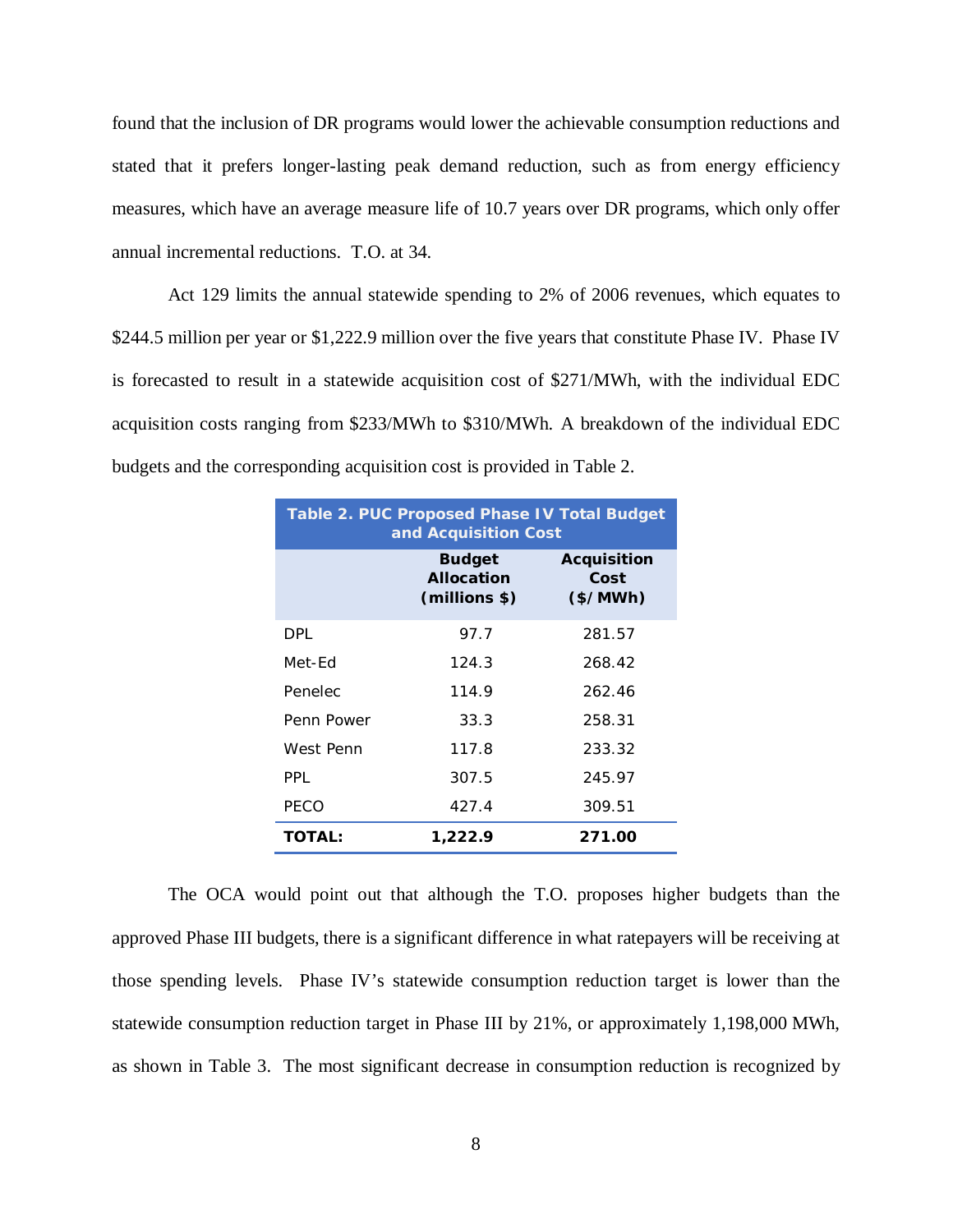found that the inclusion of DR programs would lower the achievable consumption reductions and stated that it prefers longer-lasting peak demand reduction, such as from energy efficiency measures, which have an average measure life of 10.7 years over DR programs, which only offer annual incremental reductions. T.O. at 34.

Act 129 limits the annual statewide spending to 2% of 2006 revenues, which equates to \$244.5 million per year or \$1,222.9 million over the five years that constitute Phase IV. Phase IV is forecasted to result in a statewide acquisition cost of \$271/MWh, with the individual EDC acquisition costs ranging from \$233/MWh to \$310/MWh. A breakdown of the individual EDC budgets and the corresponding acquisition cost is provided in Table 2.

| Table 2. PUC Proposed Phase IV Total Budget<br>and Acquisition Cost |                                                     |                                         |  |  |
|---------------------------------------------------------------------|-----------------------------------------------------|-----------------------------------------|--|--|
|                                                                     | <b>Budget</b><br><b>Allocation</b><br>(millions \$) | <b>Acquisition</b><br>Cost<br>$(*/MWh)$ |  |  |
| <b>DPL</b>                                                          | 97.7                                                | 281.57                                  |  |  |
| Met-Fd                                                              | 124.3                                               | 268.42                                  |  |  |
| Penelec                                                             | 114.9                                               | 262.46                                  |  |  |
| Penn Power                                                          | 33.3                                                | 258.31                                  |  |  |
| West Penn                                                           | 117.8                                               | 233.32                                  |  |  |
| PPI                                                                 | 307.5                                               | 245.97                                  |  |  |
| PECO                                                                | 427.4                                               | 309.51                                  |  |  |
| <b>TOTAL:</b>                                                       | 1,222.9                                             | 271.00                                  |  |  |

The OCA would point out that although the T.O. proposes higher budgets than the approved Phase III budgets, there is a significant difference in what ratepayers will be receiving at those spending levels. Phase IV's statewide consumption reduction target is lower than the statewide consumption reduction target in Phase III by 21%, or approximately 1,198,000 MWh, as shown in Table 3. The most significant decrease in consumption reduction is recognized by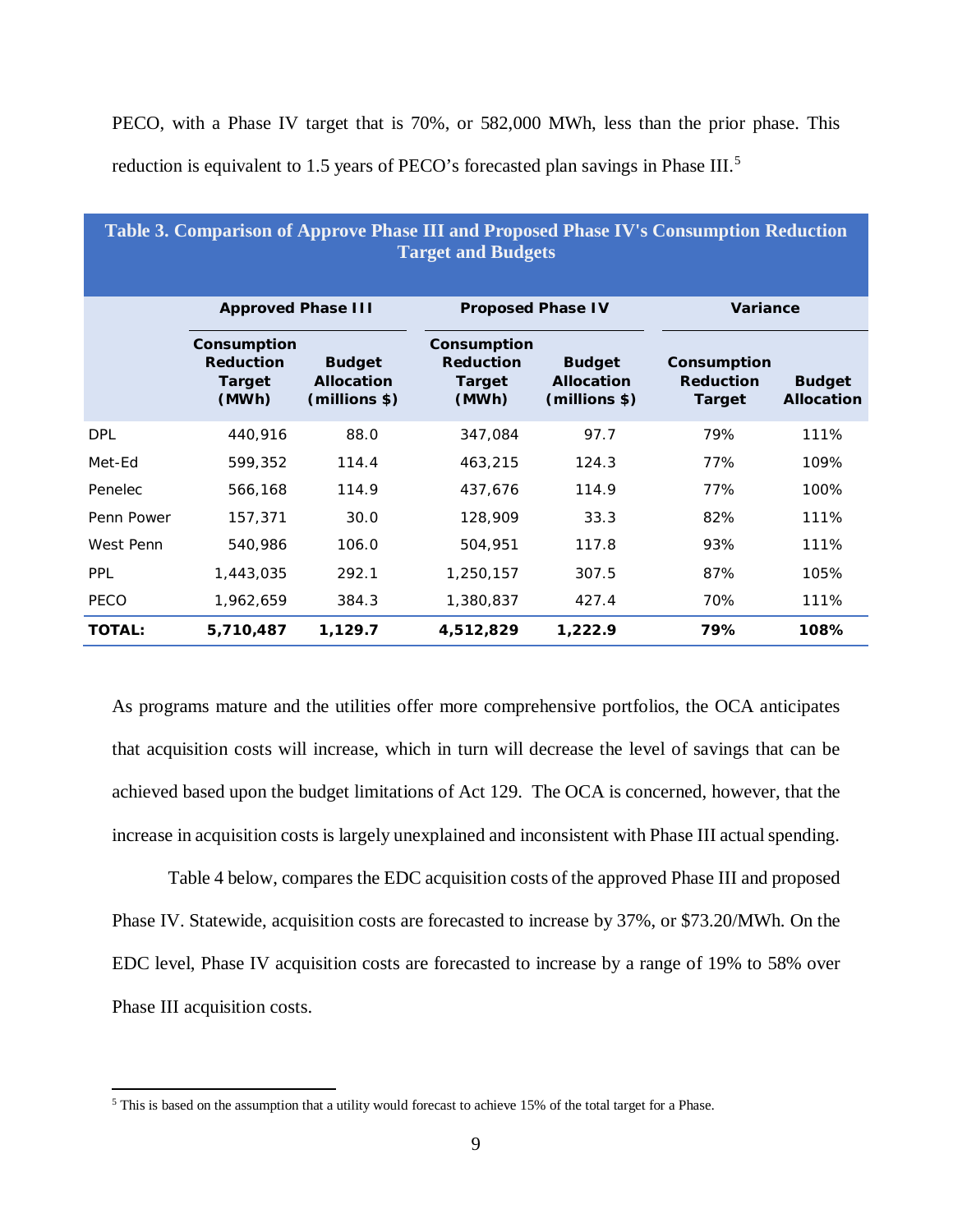PECO, with a Phase IV target that is 70%, or 582,000 MWh, less than the prior phase. This reduction is equivalent to 1.[5](#page-12-0) years of PECO's forecasted plan savings in Phase III.<sup>5</sup>

| Table 3. Comparison of Approve Phase III and Proposed Phase IV's Consumption Reduction<br><b>Target and Budgets</b> |                                                           |                                                     |                                                           |                                                     |                                                  |                                    |  |
|---------------------------------------------------------------------------------------------------------------------|-----------------------------------------------------------|-----------------------------------------------------|-----------------------------------------------------------|-----------------------------------------------------|--------------------------------------------------|------------------------------------|--|
|                                                                                                                     | <b>Approved Phase III</b>                                 |                                                     | <b>Proposed Phase IV</b>                                  |                                                     | <b>Variance</b>                                  |                                    |  |
|                                                                                                                     | Consumption<br><b>Reduction</b><br><b>Target</b><br>(MWh) | <b>Budget</b><br><b>Allocation</b><br>(millions \$) | Consumption<br><b>Reduction</b><br><b>Target</b><br>(MWh) | <b>Budget</b><br><b>Allocation</b><br>(millions \$) | Consumption<br><b>Reduction</b><br><b>Target</b> | <b>Budget</b><br><b>Allocation</b> |  |
| <b>DPL</b>                                                                                                          | 440,916                                                   | 88.0                                                | 347,084                                                   | 97.7                                                | 79%                                              | 111%                               |  |
| Met-Ed                                                                                                              | 599,352                                                   | 114.4                                               | 463,215                                                   | 124.3                                               | 77%                                              | 109%                               |  |
| Penelec                                                                                                             | 566,168                                                   | 114.9                                               | 437,676                                                   | 114.9                                               | 77%                                              | 100%                               |  |
| Penn Power                                                                                                          | 157,371                                                   | 30.0                                                | 128,909                                                   | 33.3                                                | 82%                                              | 111%                               |  |
| West Penn                                                                                                           | 540,986                                                   | 106.0                                               | 504,951                                                   | 117.8                                               | 93%                                              | 111%                               |  |
| <b>PPL</b>                                                                                                          | 1,443,035                                                 | 292.1                                               | 1,250,157                                                 | 307.5                                               | 87%                                              | 105%                               |  |
| PECO                                                                                                                | 1,962,659                                                 | 384.3                                               | 1,380,837                                                 | 427.4                                               | 70%                                              | 111%                               |  |
| <b>TOTAL:</b>                                                                                                       | 5,710,487                                                 | 1,129.7                                             | 4,512,829                                                 | 1,222.9                                             | 79%                                              | 108%                               |  |

As programs mature and the utilities offer more comprehensive portfolios, the OCA anticipates that acquisition costs will increase, which in turn will decrease the level of savings that can be achieved based upon the budget limitations of Act 129. The OCA is concerned, however, that the increase in acquisition costs is largely unexplained and inconsistent with Phase III actual spending.

Table 4 below, compares the EDC acquisition costs of the approved Phase III and proposed Phase IV. Statewide, acquisition costs are forecasted to increase by 37%, or \$73.20/MWh. On the EDC level, Phase IV acquisition costs are forecasted to increase by a range of 19% to 58% over Phase III acquisition costs.

<span id="page-12-0"></span><sup>5</sup> This is based on the assumption that a utility would forecast to achieve 15% of the total target for a Phase.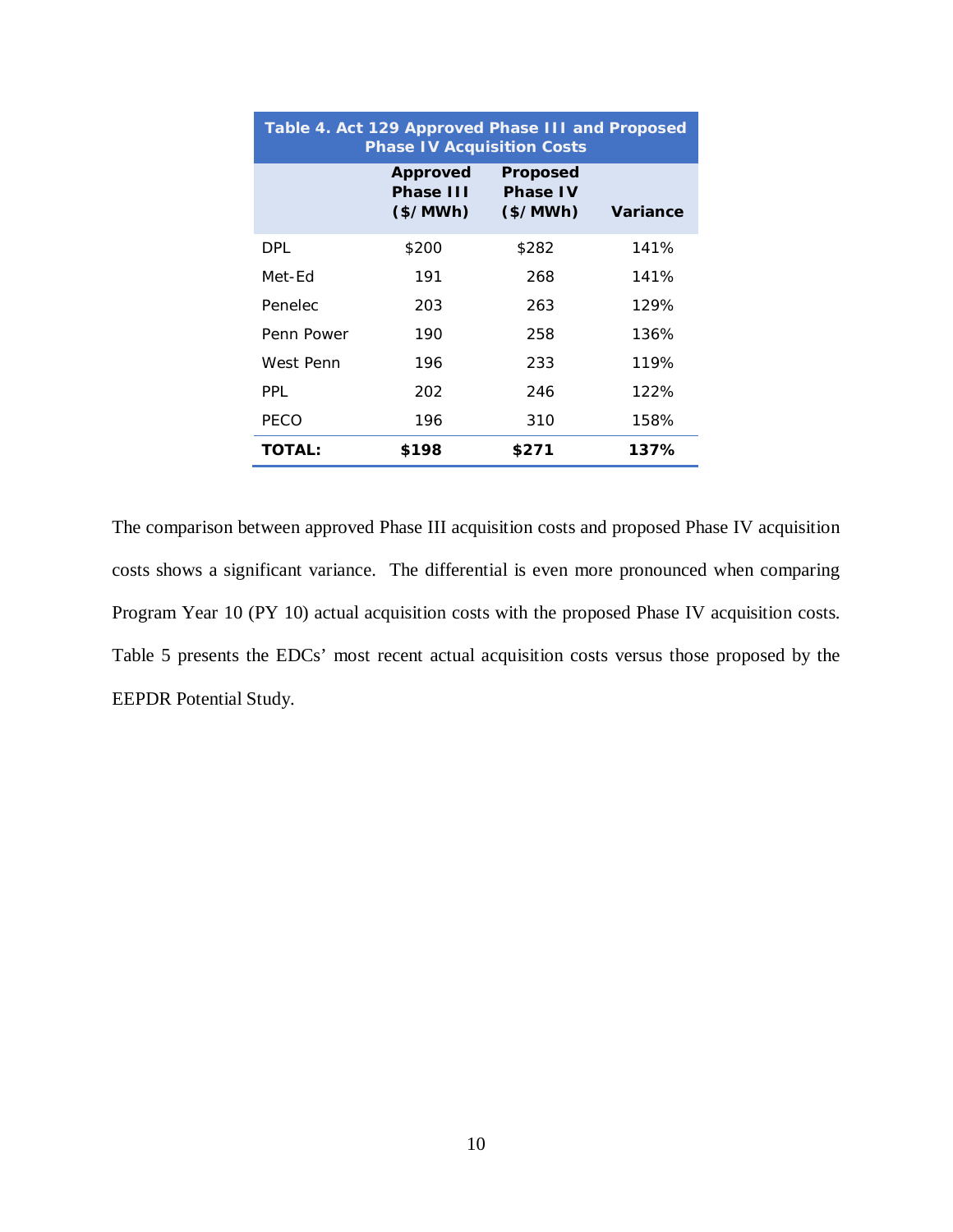| Table 4. Act 129 Approved Phase III and Proposed<br><b>Phase IV Acquisition Costs</b> |                                          |                                         |          |  |  |  |
|---------------------------------------------------------------------------------------|------------------------------------------|-----------------------------------------|----------|--|--|--|
|                                                                                       | <b>Approved</b><br>Phase III<br>(\$/MWh) | Proposed<br><b>Phase IV</b><br>(\$/MWh) | Variance |  |  |  |
| <b>DPL</b>                                                                            | \$200                                    | \$282                                   | 141%     |  |  |  |
| Met-Fd                                                                                | 191                                      | 268                                     | 141%     |  |  |  |
| Penelec                                                                               | 203                                      | 263                                     | 129%     |  |  |  |
| Penn Power                                                                            | 190                                      | 258                                     | 136%     |  |  |  |
| West Penn                                                                             | 196                                      | 233                                     | 119%     |  |  |  |
| PPI                                                                                   | 202                                      | 246                                     | 122%     |  |  |  |
| PECO                                                                                  | 196                                      | 310                                     | 158%     |  |  |  |
| <b>TOTAL:</b>                                                                         | \$198                                    | \$271                                   | 137%     |  |  |  |

The comparison between approved Phase III acquisition costs and proposed Phase IV acquisition costs shows a significant variance. The differential is even more pronounced when comparing Program Year 10 (PY 10) actual acquisition costs with the proposed Phase IV acquisition costs. Table 5 presents the EDCs' most recent actual acquisition costs versus those proposed by the EEPDR Potential Study.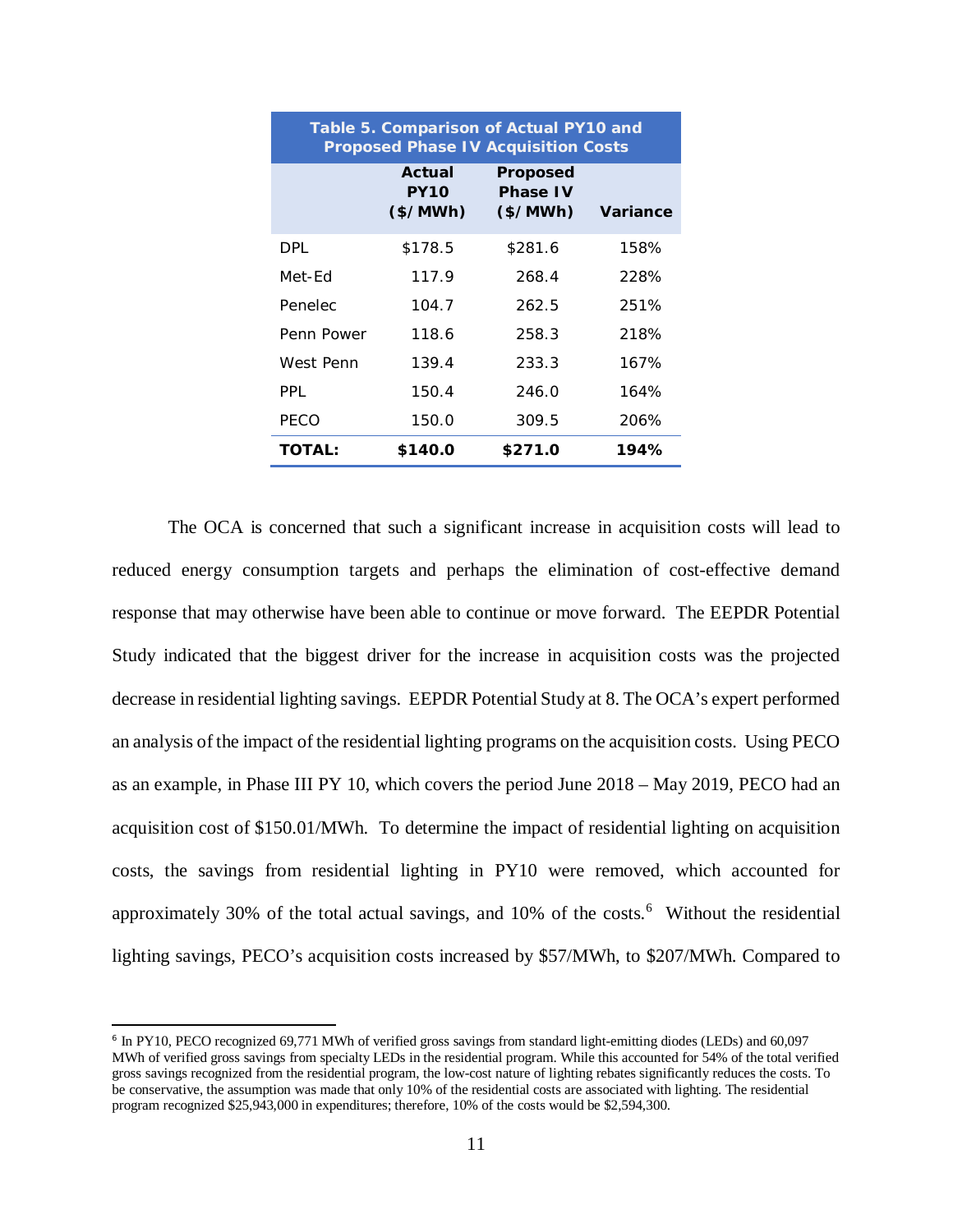| Table 5. Comparison of Actual PY10 and<br><b>Proposed Phase IV Acquisition Costs</b> |                                    |                                         |          |  |  |  |
|--------------------------------------------------------------------------------------|------------------------------------|-----------------------------------------|----------|--|--|--|
|                                                                                      | Actual<br><b>PY10</b><br>$(*/MWh)$ | Proposed<br><b>Phase IV</b><br>(\$/MWh) | Variance |  |  |  |
| DPL.                                                                                 | \$178.5                            | \$281.6                                 | 158%     |  |  |  |
| Met-Fd                                                                               | 117.9                              | 268.4                                   | 228%     |  |  |  |
| Penelec                                                                              | 104.7                              | 262.5                                   | 251%     |  |  |  |
| Penn Power                                                                           | 118.6                              | 258.3                                   | 218%     |  |  |  |
| West Penn                                                                            | 139.4                              | 233.3                                   | 167%     |  |  |  |
| PPI                                                                                  | 150.4                              | 246.0                                   | 164%     |  |  |  |
| PECO                                                                                 | 150.0                              | 309.5                                   | 206%     |  |  |  |
| <b>TOTAL:</b>                                                                        | \$140.0                            | \$271.0                                 | 194%     |  |  |  |

The OCA is concerned that such a significant increase in acquisition costs will lead to reduced energy consumption targets and perhaps the elimination of cost-effective demand response that may otherwise have been able to continue or move forward. The EEPDR Potential Study indicated that the biggest driver for the increase in acquisition costs was the projected decrease in residential lighting savings. EEPDR Potential Study at 8. The OCA's expert performed an analysis of the impact of the residential lighting programs on the acquisition costs. Using PECO as an example, in Phase III PY 10, which covers the period June 2018 – May 2019, PECO had an acquisition cost of \$150.01/MWh. To determine the impact of residential lighting on acquisition costs, the savings from residential lighting in PY10 were removed, which accounted for approximately 30% of the total actual savings, and  $10\%$  of the costs.<sup>[6](#page-14-0)</sup> Without the residential lighting savings, PECO's acquisition costs increased by \$57/MWh, to \$207/MWh. Compared to

<span id="page-14-0"></span><sup>6</sup> In PY10, PECO recognized 69,771 MWh of verified gross savings from standard light-emitting diodes (LEDs) and 60,097 MWh of verified gross savings from specialty LEDs in the residential program. While this accounted for 54% of the total verified gross savings recognized from the residential program, the low-cost nature of lighting rebates significantly reduces the costs. To be conservative, the assumption was made that only 10% of the residential costs are associated with lighting. The residential program recognized \$25,943,000 in expenditures; therefore, 10% of the costs would be \$2,594,300.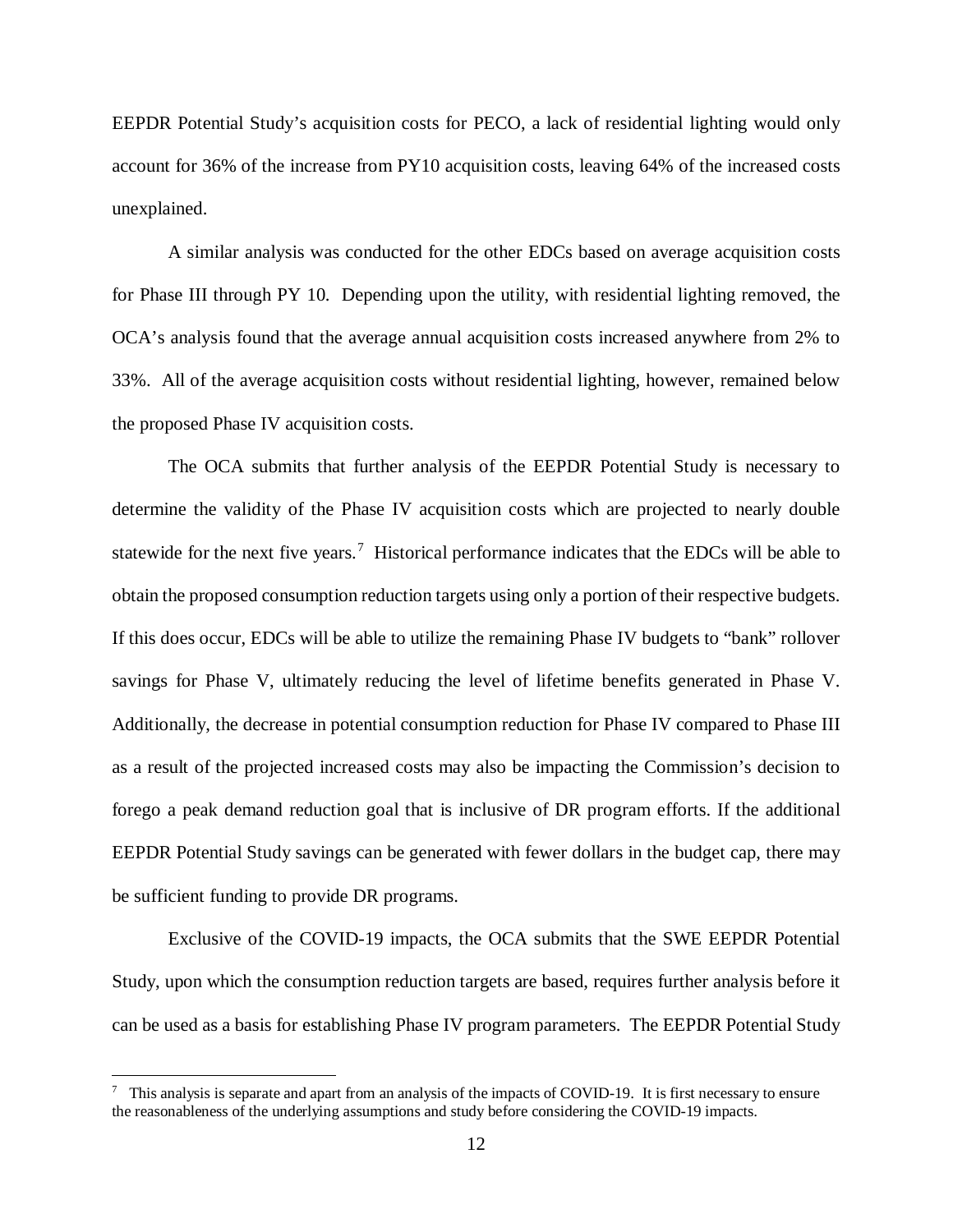EEPDR Potential Study's acquisition costs for PECO, a lack of residential lighting would only account for 36% of the increase from PY10 acquisition costs, leaving 64% of the increased costs unexplained.

A similar analysis was conducted for the other EDCs based on average acquisition costs for Phase III through PY 10. Depending upon the utility, with residential lighting removed, the OCA's analysis found that the average annual acquisition costs increased anywhere from 2% to 33%. All of the average acquisition costs without residential lighting, however, remained below the proposed Phase IV acquisition costs.

The OCA submits that further analysis of the EEPDR Potential Study is necessary to determine the validity of the Phase IV acquisition costs which are projected to nearly double statewide for the next five years.<sup>[7](#page-15-0)</sup> Historical performance indicates that the EDCs will be able to obtain the proposed consumption reduction targets using only a portion of their respective budgets. If this does occur, EDCs will be able to utilize the remaining Phase IV budgets to "bank" rollover savings for Phase V, ultimately reducing the level of lifetime benefits generated in Phase V. Additionally, the decrease in potential consumption reduction for Phase IV compared to Phase III as a result of the projected increased costs may also be impacting the Commission's decision to forego a peak demand reduction goal that is inclusive of DR program efforts. If the additional EEPDR Potential Study savings can be generated with fewer dollars in the budget cap, there may be sufficient funding to provide DR programs.

Exclusive of the COVID-19 impacts, the OCA submits that the SWE EEPDR Potential Study, upon which the consumption reduction targets are based, requires further analysis before it can be used as a basis for establishing Phase IV program parameters. The EEPDR Potential Study

<span id="page-15-0"></span> $7$  This analysis is separate and apart from an analysis of the impacts of COVID-19. It is first necessary to ensure the reasonableness of the underlying assumptions and study before considering the COVID-19 impacts.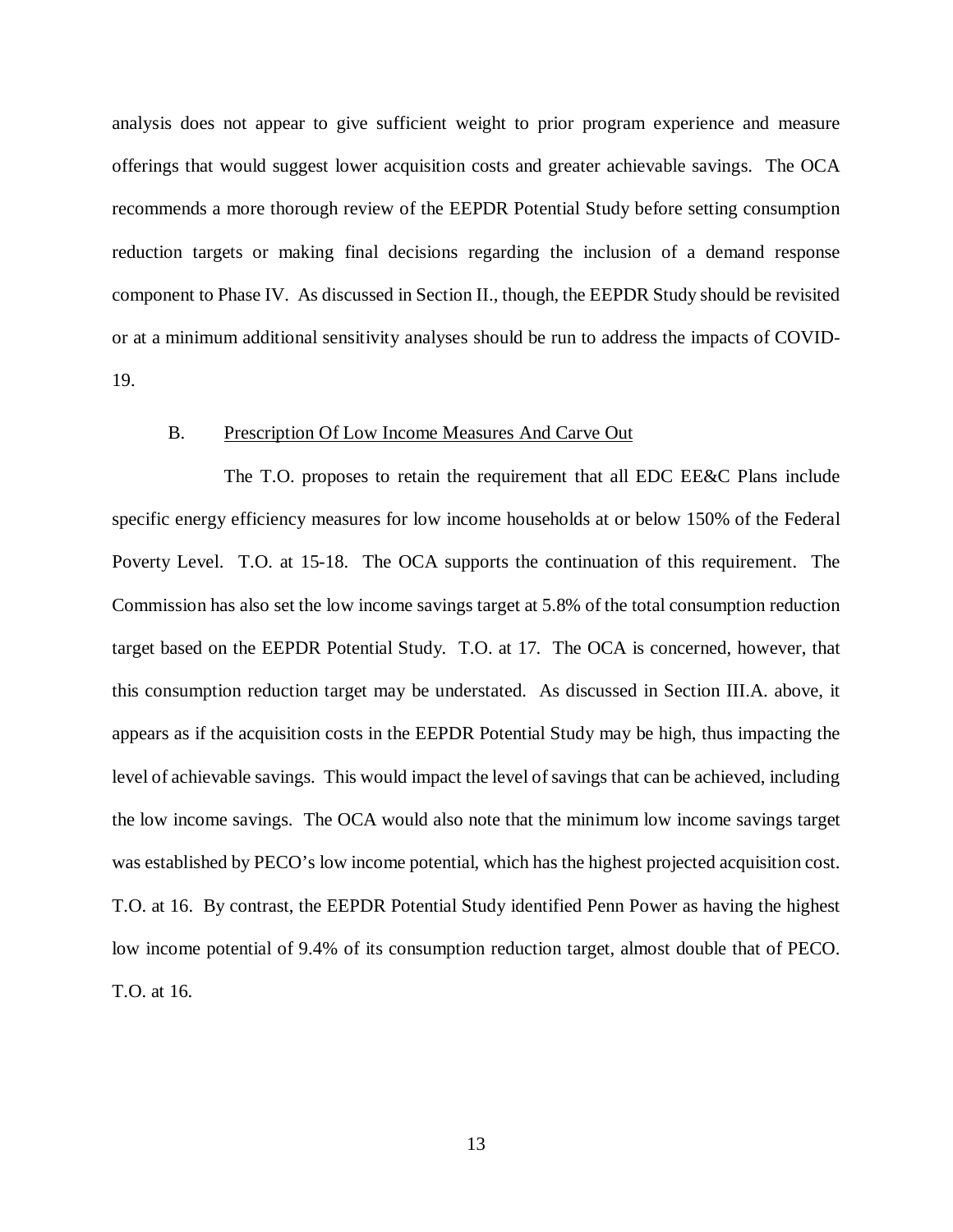analysis does not appear to give sufficient weight to prior program experience and measure offerings that would suggest lower acquisition costs and greater achievable savings. The OCA recommends a more thorough review of the EEPDR Potential Study before setting consumption reduction targets or making final decisions regarding the inclusion of a demand response component to Phase IV. As discussed in Section II., though, the EEPDR Study should be revisited or at a minimum additional sensitivity analyses should be run to address the impacts of COVID-19.

## <span id="page-16-0"></span>B. Prescription Of Low Income Measures And Carve Out

The T.O. proposes to retain the requirement that all EDC EE&C Plans include specific energy efficiency measures for low income households at or below 150% of the Federal Poverty Level. T.O. at 15-18. The OCA supports the continuation of this requirement. The Commission has also set the low income savings target at 5.8% of the total consumption reduction target based on the EEPDR Potential Study. T.O. at 17. The OCA is concerned, however, that this consumption reduction target may be understated. As discussed in Section III.A. above, it appears as if the acquisition costs in the EEPDR Potential Study may be high, thus impacting the level of achievable savings. This would impact the level of savings that can be achieved, including the low income savings. The OCA would also note that the minimum low income savings target was established by PECO's low income potential, which has the highest projected acquisition cost. T.O. at 16. By contrast, the EEPDR Potential Study identified Penn Power as having the highest low income potential of 9.4% of its consumption reduction target, almost double that of PECO. T.O. at 16.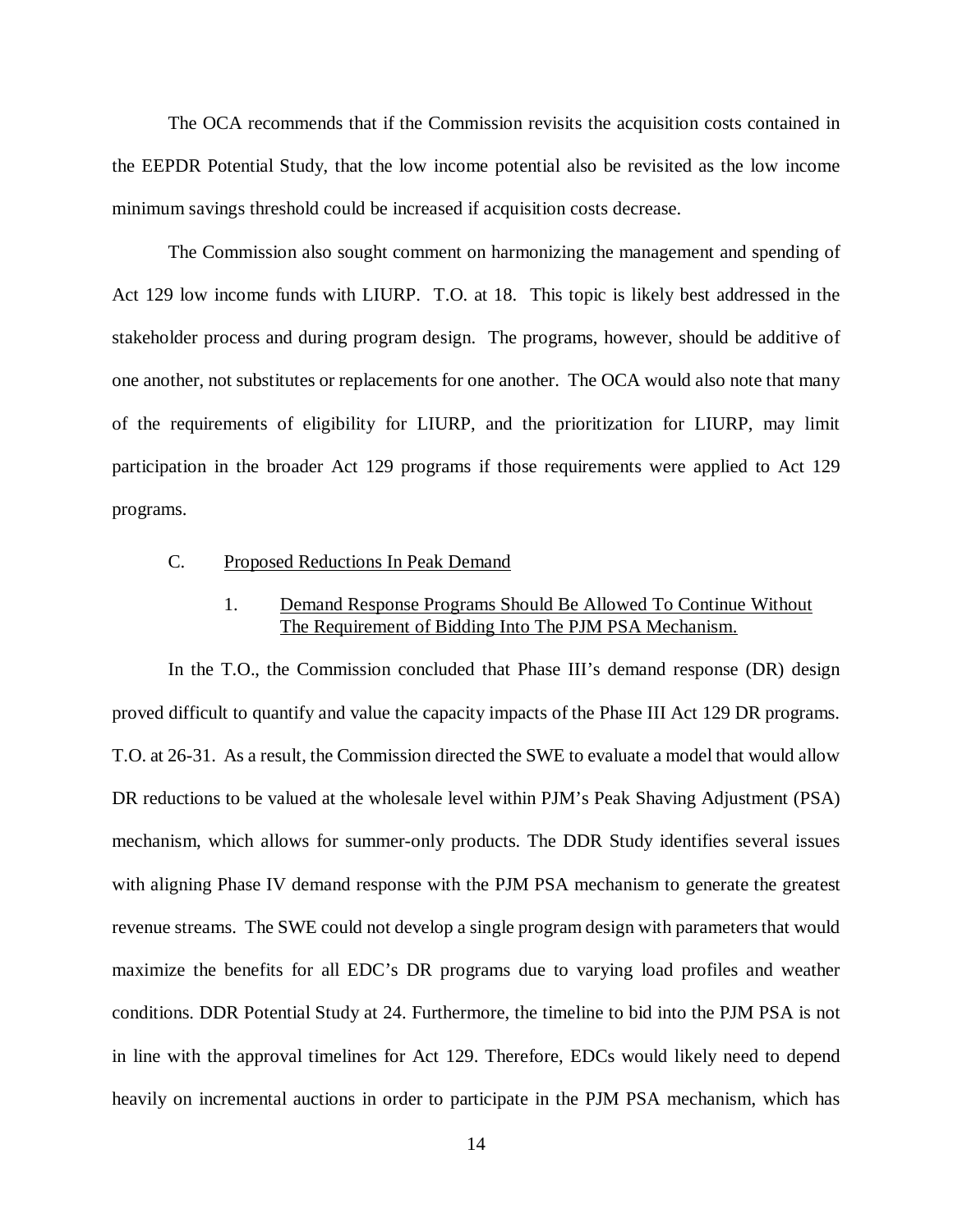The OCA recommends that if the Commission revisits the acquisition costs contained in the EEPDR Potential Study, that the low income potential also be revisited as the low income minimum savings threshold could be increased if acquisition costs decrease.

The Commission also sought comment on harmonizing the management and spending of Act 129 low income funds with LIURP. T.O. at 18. This topic is likely best addressed in the stakeholder process and during program design. The programs, however, should be additive of one another, not substitutes or replacements for one another. The OCA would also note that many of the requirements of eligibility for LIURP, and the prioritization for LIURP, may limit participation in the broader Act 129 programs if those requirements were applied to Act 129 programs.

### <span id="page-17-0"></span>C. Proposed Reductions In Peak Demand

# 1. Demand Response Programs Should Be Allowed To Continue Without The Requirement of Bidding Into The PJM PSA Mechanism.

<span id="page-17-1"></span>In the T.O., the Commission concluded that Phase III's demand response (DR) design proved difficult to quantify and value the capacity impacts of the Phase III Act 129 DR programs. T.O. at 26-31. As a result, the Commission directed the SWE to evaluate a model that would allow DR reductions to be valued at the wholesale level within PJM's Peak Shaving Adjustment (PSA) mechanism, which allows for summer-only products. The DDR Study identifies several issues with aligning Phase IV demand response with the PJM PSA mechanism to generate the greatest revenue streams. The SWE could not develop a single program design with parameters that would maximize the benefits for all EDC's DR programs due to varying load profiles and weather conditions. DDR Potential Study at 24. Furthermore, the timeline to bid into the PJM PSA is not in line with the approval timelines for Act 129. Therefore, EDCs would likely need to depend heavily on incremental auctions in order to participate in the PJM PSA mechanism, which has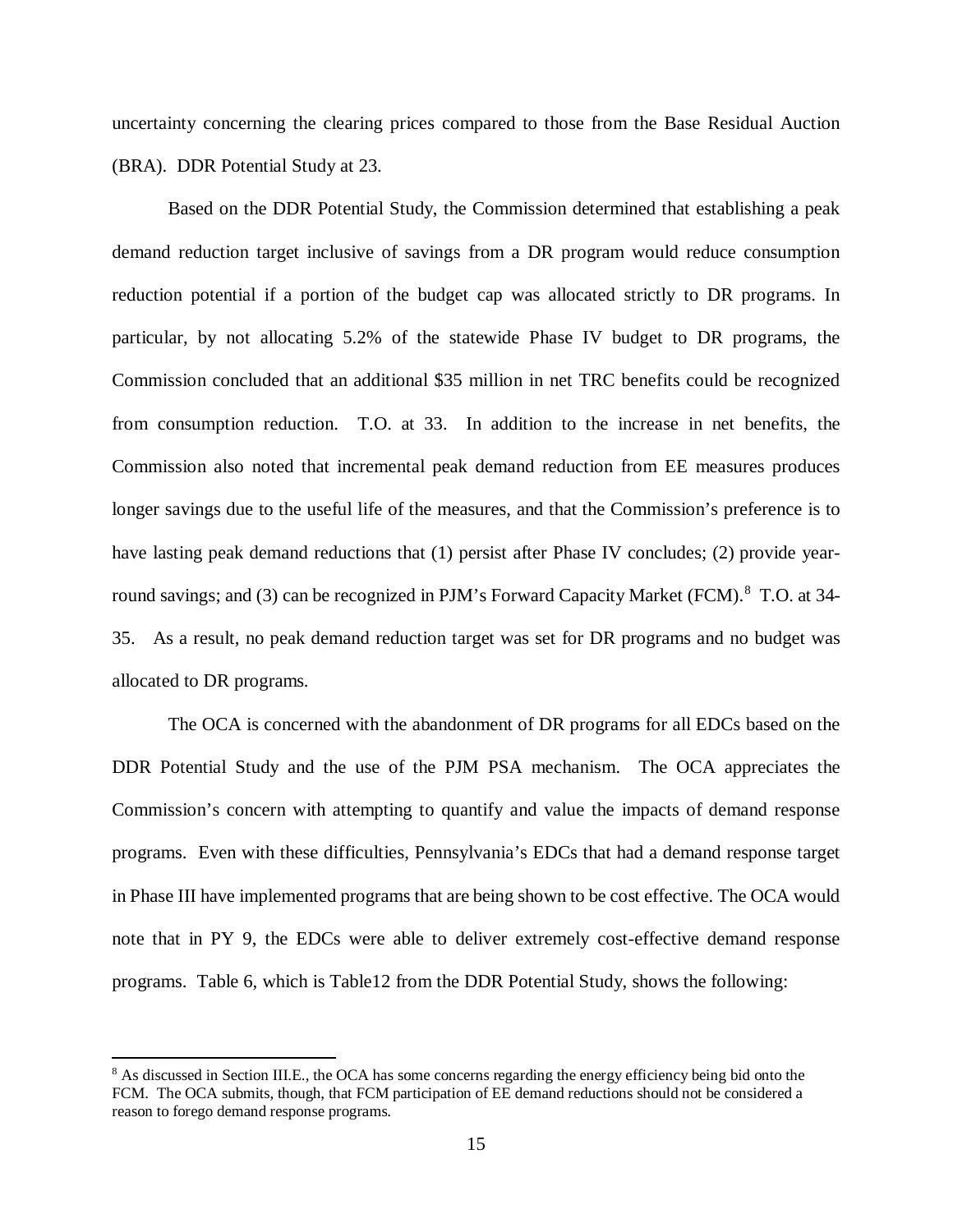uncertainty concerning the clearing prices compared to those from the Base Residual Auction (BRA). DDR Potential Study at 23.

Based on the DDR Potential Study, the Commission determined that establishing a peak demand reduction target inclusive of savings from a DR program would reduce consumption reduction potential if a portion of the budget cap was allocated strictly to DR programs. In particular, by not allocating 5.2% of the statewide Phase IV budget to DR programs, the Commission concluded that an additional \$35 million in net TRC benefits could be recognized from consumption reduction. T.O. at 33. In addition to the increase in net benefits, the Commission also noted that incremental peak demand reduction from EE measures produces longer savings due to the useful life of the measures, and that the Commission's preference is to have lasting peak demand reductions that (1) persist after Phase IV concludes; (2) provide year-round savings; and (3) can be recognized in PJM's Forward Capacity Market (FCM).<sup>[8](#page-18-0)</sup> T.O. at 34-35. As a result, no peak demand reduction target was set for DR programs and no budget was allocated to DR programs.

The OCA is concerned with the abandonment of DR programs for all EDCs based on the DDR Potential Study and the use of the PJM PSA mechanism. The OCA appreciates the Commission's concern with attempting to quantify and value the impacts of demand response programs. Even with these difficulties, Pennsylvania's EDCs that had a demand response target in Phase III have implemented programs that are being shown to be cost effective. The OCA would note that in PY 9, the EDCs were able to deliver extremely cost-effective demand response programs. Table 6, which is Table12 from the DDR Potential Study, shows the following:

 $\overline{a}$ 

<span id="page-18-0"></span><sup>&</sup>lt;sup>8</sup> As discussed in Section III.E., the OCA has some concerns regarding the energy efficiency being bid onto the FCM. The OCA submits, though, that FCM participation of EE demand reductions should not be considered a reason to forego demand response programs.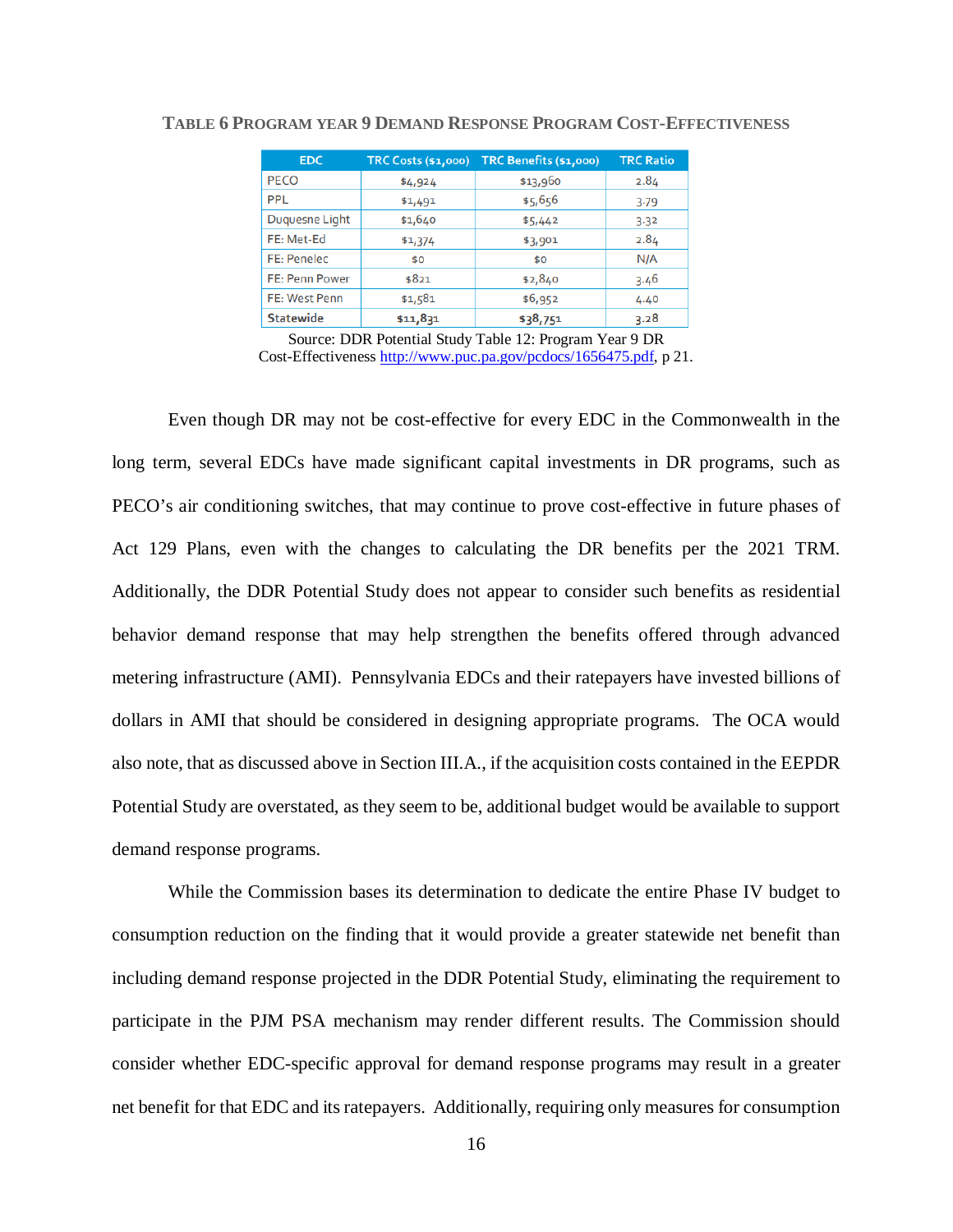| <b>EDC</b>            | <b>TRC Costs (\$1,000)</b> | TRC Benefits (\$1,000) | <b>TRC Ratio</b> |
|-----------------------|----------------------------|------------------------|------------------|
| <b>PECO</b>           | \$4,924                    | \$13,960               | 2.84             |
| PPL                   | \$1,491                    | \$5,656                | 3.79             |
| Duguesne Light        | \$1,640                    | \$5,442                | 3.32             |
| FE: Met-Ed            | \$1,374                    | \$3,901                | 2.84             |
| FE: Penelec           | \$0                        | \$0                    | N/A              |
| <b>FE: Penn Power</b> | \$821                      | \$2,840                | 3.46             |
| FE: West Penn         | \$1,581                    | \$6,952                | 4.40             |
| <b>Statewide</b>      | \$11,831                   | \$38,751               | 3.28             |

#### **TABLE 6 PROGRAM YEAR 9 DEMAND RESPONSE PROGRAM COST-EFFECTIVENESS**

Source: DDR Potential Study Table 12: Program Year 9 DR Cost-Effectiveness [http://www.puc.pa.gov/pcdocs/1656475.pdf,](http://www.puc.pa.gov/pcdocs/1656475.pdf) p 21.

Even though DR may not be cost-effective for every EDC in the Commonwealth in the long term, several EDCs have made significant capital investments in DR programs, such as PECO's air conditioning switches, that may continue to prove cost-effective in future phases of Act 129 Plans, even with the changes to calculating the DR benefits per the 2021 TRM. Additionally, the DDR Potential Study does not appear to consider such benefits as residential behavior demand response that may help strengthen the benefits offered through advanced metering infrastructure (AMI). Pennsylvania EDCs and their ratepayers have invested billions of dollars in AMI that should be considered in designing appropriate programs. The OCA would also note, that as discussed above in Section III.A., if the acquisition costs contained in the EEPDR Potential Study are overstated, as they seem to be, additional budget would be available to support demand response programs.

While the Commission bases its determination to dedicate the entire Phase IV budget to consumption reduction on the finding that it would provide a greater statewide net benefit than including demand response projected in the DDR Potential Study, eliminating the requirement to participate in the PJM PSA mechanism may render different results. The Commission should consider whether EDC-specific approval for demand response programs may result in a greater net benefit for that EDC and its ratepayers. Additionally, requiring only measures for consumption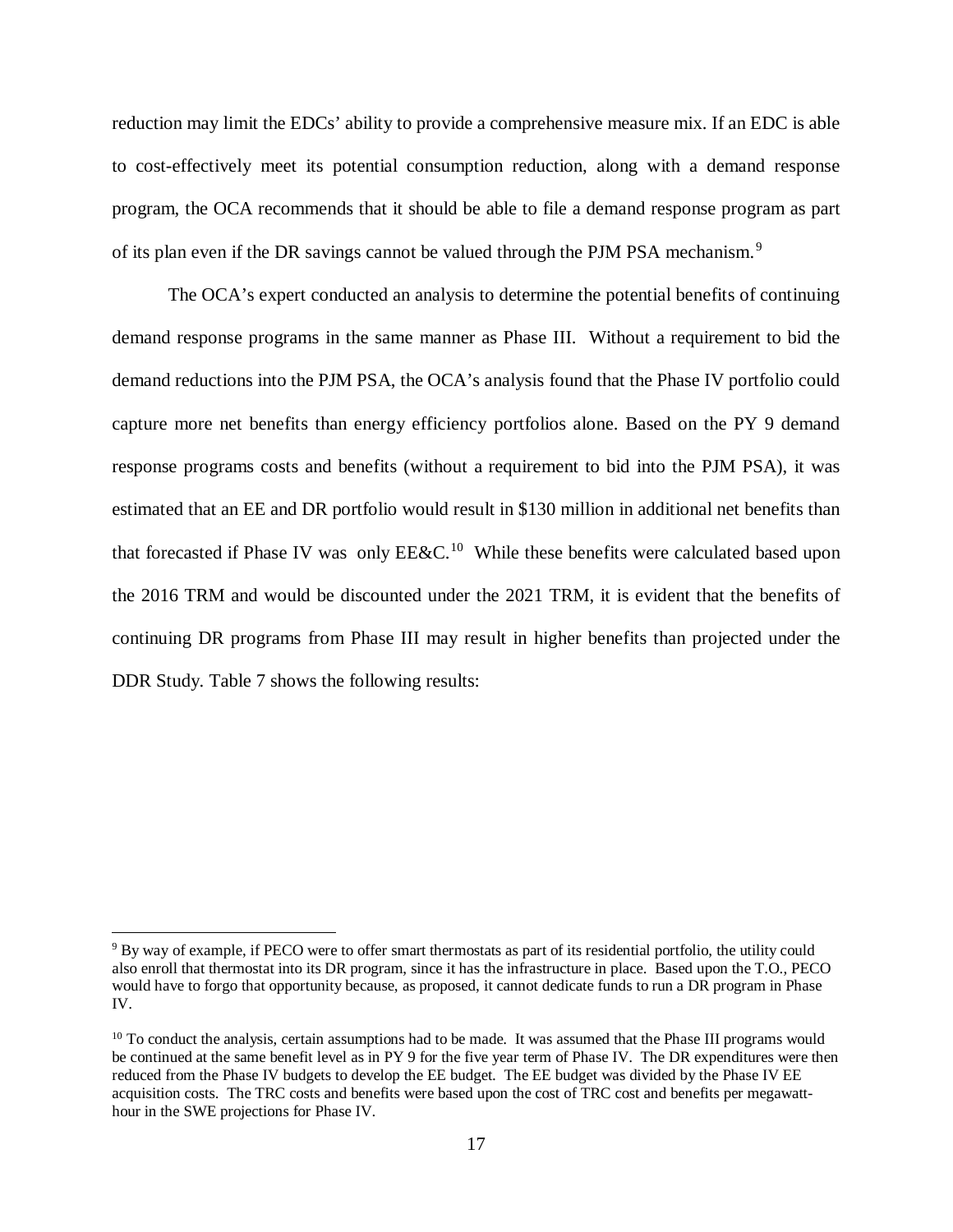reduction may limit the EDCs' ability to provide a comprehensive measure mix. If an EDC is able to cost-effectively meet its potential consumption reduction, along with a demand response program, the OCA recommends that it should be able to file a demand response program as part of its plan even if the DR savings cannot be valued through the PJM PSA mechanism.<sup>[9](#page-20-0)</sup>

The OCA's expert conducted an analysis to determine the potential benefits of continuing demand response programs in the same manner as Phase III. Without a requirement to bid the demand reductions into the PJM PSA, the OCA's analysis found that the Phase IV portfolio could capture more net benefits than energy efficiency portfolios alone. Based on the PY 9 demand response programs costs and benefits (without a requirement to bid into the PJM PSA), it was estimated that an EE and DR portfolio would result in \$130 million in additional net benefits than that forecasted if Phase IV was only  $EExC$ <sup>10</sup> While these benefits were calculated based upon the 2016 TRM and would be discounted under the 2021 TRM, it is evident that the benefits of continuing DR programs from Phase III may result in higher benefits than projected under the DDR Study. Table 7 shows the following results:

<span id="page-20-0"></span><sup>&</sup>lt;sup>9</sup> By way of example, if PECO were to offer smart thermostats as part of its residential portfolio, the utility could also enroll that thermostat into its DR program, since it has the infrastructure in place. Based upon the T.O., PECO would have to forgo that opportunity because, as proposed, it cannot dedicate funds to run a DR program in Phase IV.

<span id="page-20-1"></span> $10$  To conduct the analysis, certain assumptions had to be made. It was assumed that the Phase III programs would be continued at the same benefit level as in PY 9 for the five year term of Phase IV. The DR expenditures were then reduced from the Phase IV budgets to develop the EE budget. The EE budget was divided by the Phase IV EE acquisition costs. The TRC costs and benefits were based upon the cost of TRC cost and benefits per megawatthour in the SWE projections for Phase IV.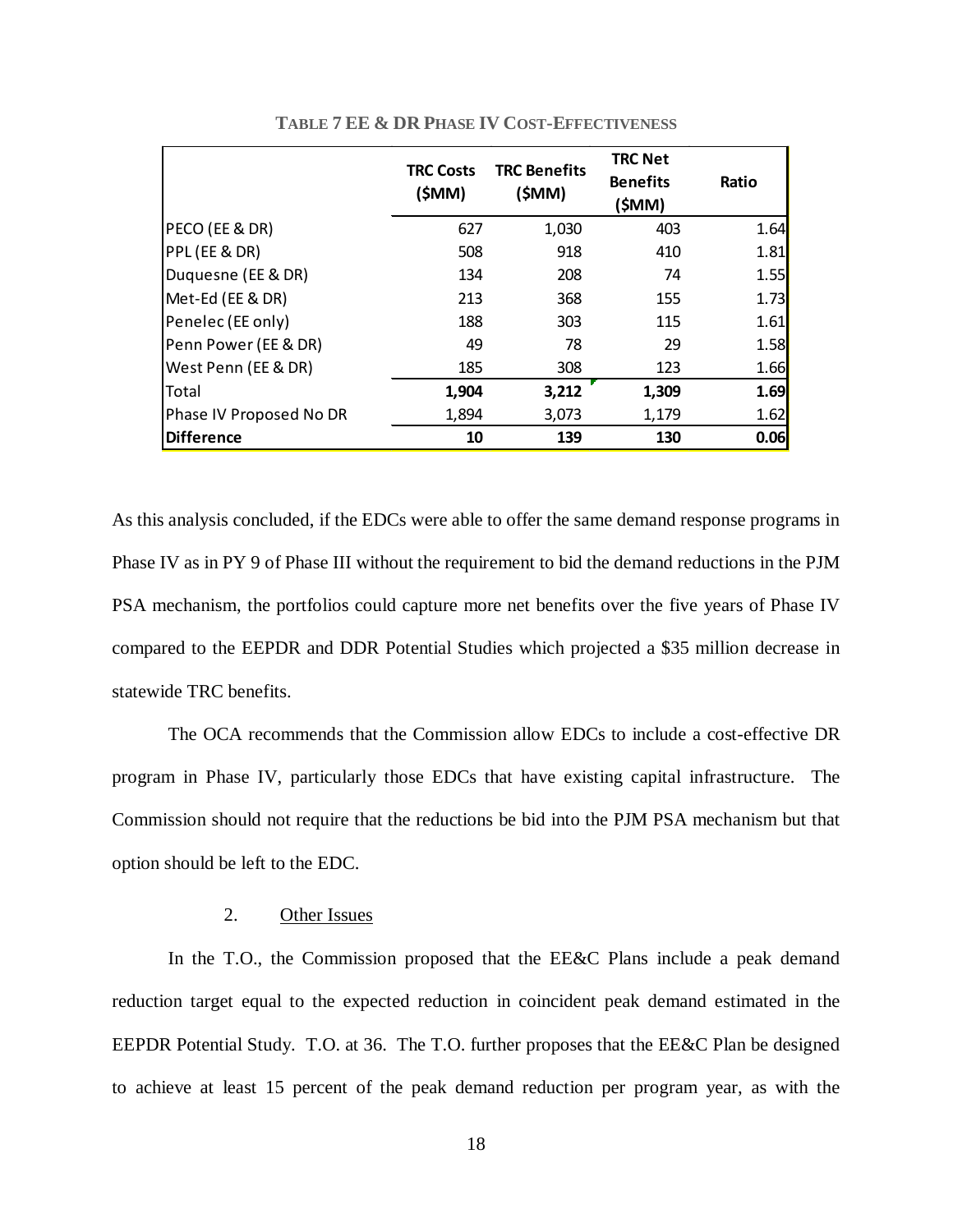|                         | <b>TRC Costs</b><br>(\$MM) | <b>TRC Benefits</b><br>(\$MM) | <b>TRC Net</b><br><b>Benefits</b><br>(\$MM) | Ratio |
|-------------------------|----------------------------|-------------------------------|---------------------------------------------|-------|
| PECO (EE & DR)          | 627                        | 1,030                         | 403                                         | 1.64  |
| PPL (EE & DR)           | 508                        | 918                           | 410                                         | 1.81  |
| Duquesne (EE & DR)      | 134                        | 208                           | 74                                          | 1.55  |
| Met-Ed (EE & DR)        | 213                        | 368                           | 155                                         | 1.73  |
| Penelec (EE only)       | 188                        | 303                           | 115                                         | 1.61  |
| Penn Power (EE & DR)    | 49                         | 78                            | 29                                          | 1.58  |
| West Penn (EE & DR)     | 185                        | 308                           | 123                                         | 1.66  |
| Total                   | 1,904                      | 3,212                         | 1,309                                       | 1.69  |
| Phase IV Proposed No DR | 1,894                      | 3,073                         | 1,179                                       | 1.62  |
| <b>Difference</b>       | 10                         | 139                           | 130                                         | 0.06  |

**TABLE 7 EE & DR PHASE IV COST-EFFECTIVENESS**

As this analysis concluded, if the EDCs were able to offer the same demand response programs in Phase IV as in PY 9 of Phase III without the requirement to bid the demand reductions in the PJM PSA mechanism, the portfolios could capture more net benefits over the five years of Phase IV compared to the EEPDR and DDR Potential Studies which projected a \$35 million decrease in statewide TRC benefits.

The OCA recommends that the Commission allow EDCs to include a cost-effective DR program in Phase IV, particularly those EDCs that have existing capital infrastructure. The Commission should not require that the reductions be bid into the PJM PSA mechanism but that option should be left to the EDC.

# <span id="page-21-0"></span>2. Other Issues

In the T.O., the Commission proposed that the EE&C Plans include a peak demand reduction target equal to the expected reduction in coincident peak demand estimated in the EEPDR Potential Study. T.O. at 36. The T.O. further proposes that the EE&C Plan be designed to achieve at least 15 percent of the peak demand reduction per program year, as with the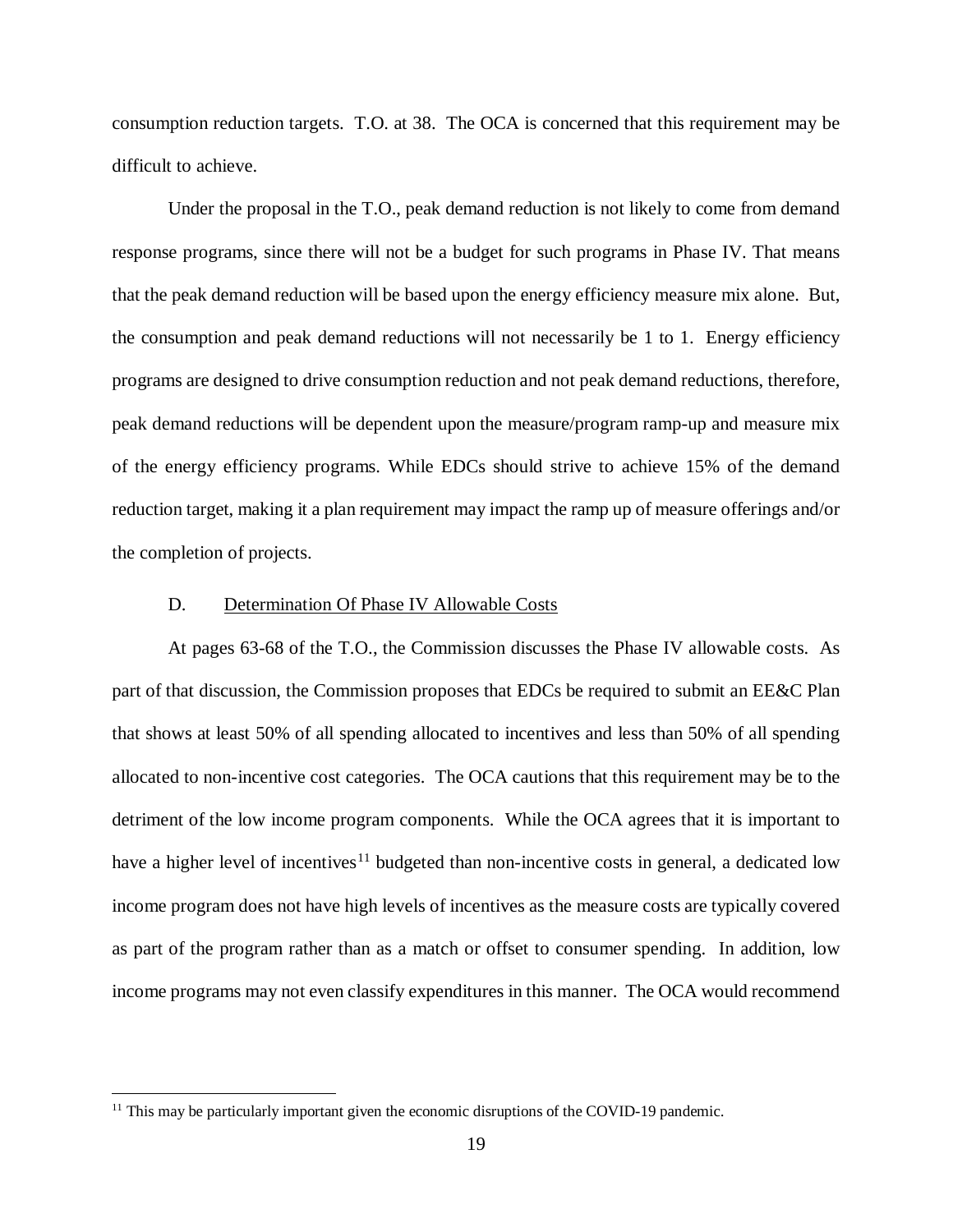consumption reduction targets. T.O. at 38. The OCA is concerned that this requirement may be difficult to achieve.

Under the proposal in the T.O., peak demand reduction is not likely to come from demand response programs, since there will not be a budget for such programs in Phase IV. That means that the peak demand reduction will be based upon the energy efficiency measure mix alone. But, the consumption and peak demand reductions will not necessarily be 1 to 1. Energy efficiency programs are designed to drive consumption reduction and not peak demand reductions, therefore, peak demand reductions will be dependent upon the measure/program ramp-up and measure mix of the energy efficiency programs. While EDCs should strive to achieve 15% of the demand reduction target, making it a plan requirement may impact the ramp up of measure offerings and/or the completion of projects.

#### <span id="page-22-0"></span>D. Determination Of Phase IV Allowable Costs

At pages 63-68 of the T.O., the Commission discusses the Phase IV allowable costs. As part of that discussion, the Commission proposes that EDCs be required to submit an EE&C Plan that shows at least 50% of all spending allocated to incentives and less than 50% of all spending allocated to non-incentive cost categories. The OCA cautions that this requirement may be to the detriment of the low income program components. While the OCA agrees that it is important to have a higher level of incentives<sup>[11](#page-22-1)</sup> budgeted than non-incentive costs in general, a dedicated low income program does not have high levels of incentives as the measure costs are typically covered as part of the program rather than as a match or offset to consumer spending. In addition, low income programs may not even classify expenditures in this manner. The OCA would recommend

<span id="page-22-1"></span> $11$  This may be particularly important given the economic disruptions of the COVID-19 pandemic.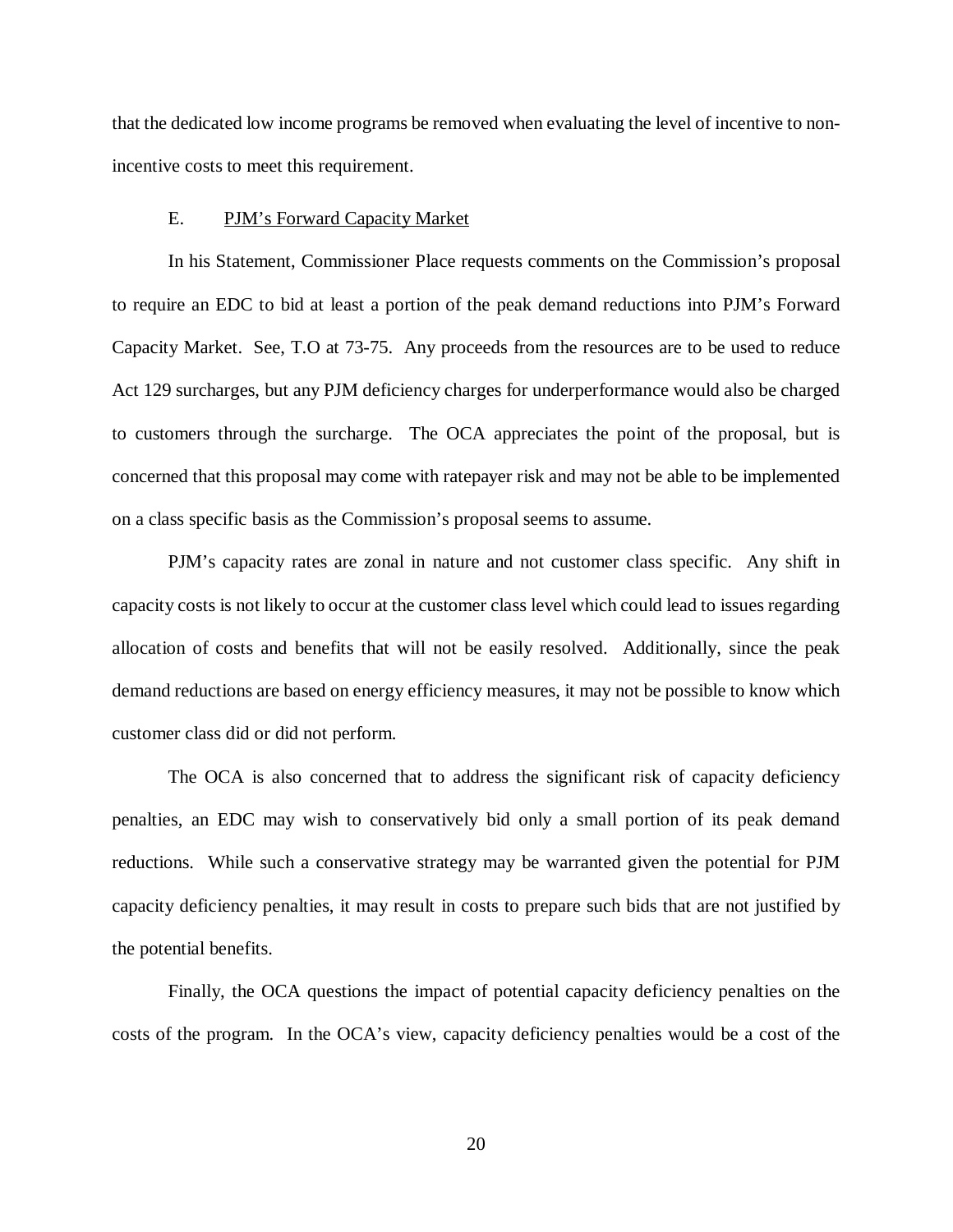that the dedicated low income programs be removed when evaluating the level of incentive to nonincentive costs to meet this requirement.

### <span id="page-23-0"></span>E. PJM's Forward Capacity Market

In his Statement, Commissioner Place requests comments on the Commission's proposal to require an EDC to bid at least a portion of the peak demand reductions into PJM's Forward Capacity Market. See, T.O at 73-75. Any proceeds from the resources are to be used to reduce Act 129 surcharges, but any PJM deficiency charges for underperformance would also be charged to customers through the surcharge. The OCA appreciates the point of the proposal, but is concerned that this proposal may come with ratepayer risk and may not be able to be implemented on a class specific basis as the Commission's proposal seems to assume.

PJM's capacity rates are zonal in nature and not customer class specific. Any shift in capacity costs is not likely to occur at the customer class level which could lead to issues regarding allocation of costs and benefits that will not be easily resolved. Additionally, since the peak demand reductions are based on energy efficiency measures, it may not be possible to know which customer class did or did not perform.

The OCA is also concerned that to address the significant risk of capacity deficiency penalties, an EDC may wish to conservatively bid only a small portion of its peak demand reductions. While such a conservative strategy may be warranted given the potential for PJM capacity deficiency penalties, it may result in costs to prepare such bids that are not justified by the potential benefits.

Finally, the OCA questions the impact of potential capacity deficiency penalties on the costs of the program. In the OCA's view, capacity deficiency penalties would be a cost of the